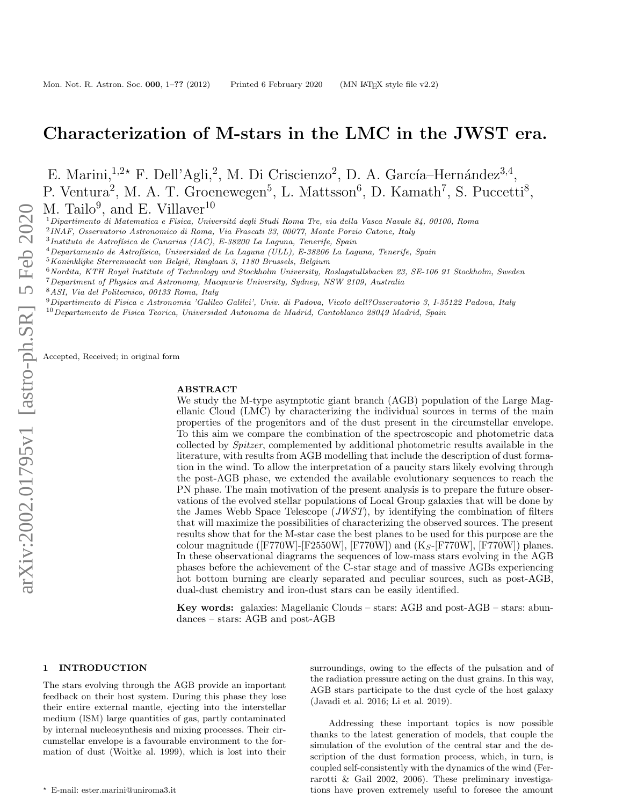# Characterization of M-stars in the LMC in the JWST era.

E. Marini, <sup>1,2\*</sup> F. Dell'Agli,<sup>2</sup>, M. Di Criscienzo<sup>2</sup>, D. A. García–Hernández<sup>3,4</sup>, P. Ventura<sup>2</sup>, M. A. T. Groenewegen<sup>5</sup>, L. Mattsson<sup>6</sup>, D. Kamath<sup>7</sup>, S. Puccetti<sup>8</sup>, M. Tailo<sup>9</sup>, and E. Villaver<sup>10</sup>

 $1$ Dipartimento di Matematica e Fisica, Universitá degli Studi Roma Tre, via della Vasca Navale 84, 00100, Roma

2 INAF, Osservatorio Astronomico di Roma, Via Frascati 33, 00077, Monte Porzio Catone, Italy

 $3$ Instituto de Astrofísica de Canarias (IAC), E-38200 La Laguna, Tenerife, Spain

- $4$ Departamento de Astrofísica, Universidad de La Laguna (ULL), E-38206 La Laguna, Tenerife, Spain
- $5$ Koninklijke Sterrenwacht van België, Ringlaan 3, 1180 Brussels, Belgium
- $6$ Nordita, KTH Royal Institute of Technology and Stockholm University, Roslagstullsbacken 23, SE-106 91 Stockholm, Sweden
- <sup>7</sup>Department of Physics and Astronomy, Macquarie University, Sydney, NSW 2109, Australia
- <sup>8</sup>ASI, Via del Politecnico, 00133 Roma, Italy
- <sup>9</sup>Dipartimento di Fisica e Astronomia 'Galileo Galilei', Univ. di Padova, Vicolo dell?Osservatorio 3, I-35122 Padova, Italy

 $10$ Departamento de Fisica Teorica, Universidad Autonoma de Madrid, Cantoblanco 28049 Madrid, Spain

Accepted, Received; in original form

#### ABSTRACT

We study the M-type asymptotic giant branch (AGB) population of the Large Magellanic Cloud (LMC) by characterizing the individual sources in terms of the main properties of the progenitors and of the dust present in the circumstellar envelope. To this aim we compare the combination of the spectroscopic and photometric data collected by Spitzer, complemented by additional photometric results available in the literature, with results from AGB modelling that include the description of dust formation in the wind. To allow the interpretation of a paucity stars likely evolving through the post-AGB phase, we extended the available evolutionary sequences to reach the PN phase. The main motivation of the present analysis is to prepare the future observations of the evolved stellar populations of Local Group galaxies that will be done by the James Webb Space Telescope  $(JWST)$ , by identifying the combination of filters that will maximize the possibilities of characterizing the observed sources. The present results show that for the M-star case the best planes to be used for this purpose are the colour magnitude ( $[FT770W]$ - $[F2550W]$ ,  $[FT70W]$ ) and  $(K_S$ - $[FT70W]$ ,  $[FT70W]$ ) planes. In these observational diagrams the sequences of low-mass stars evolving in the AGB phases before the achievement of the C-star stage and of massive AGBs experiencing hot bottom burning are clearly separated and peculiar sources, such as post-AGB, dual-dust chemistry and iron-dust stars can be easily identified.

Key words: galaxies: Magellanic Clouds – stars: AGB and post-AGB – stars: abundances – stars: AGB and post-AGB

#### 1 INTRODUCTION

The stars evolving through the AGB provide an important feedback on their host system. During this phase they lose their entire external mantle, ejecting into the interstellar medium (ISM) large quantities of gas, partly contaminated by internal nucleosynthesis and mixing processes. Their circumstellar envelope is a favourable environment to the formation of dust (Woitke al. 1999), which is lost into their

surroundings, owing to the effects of the pulsation and of the radiation pressure acting on the dust grains. In this way, AGB stars participate to the dust cycle of the host galaxy (Javadi et al. 2016; Li et al. 2019).

Addressing these important topics is now possible thanks to the latest generation of models, that couple the simulation of the evolution of the central star and the description of the dust formation process, which, in turn, is coupled self-consistently with the dynamics of the wind (Ferrarotti & Gail 2002, 2006). These preliminary investigations have proven extremely useful to foresee the amount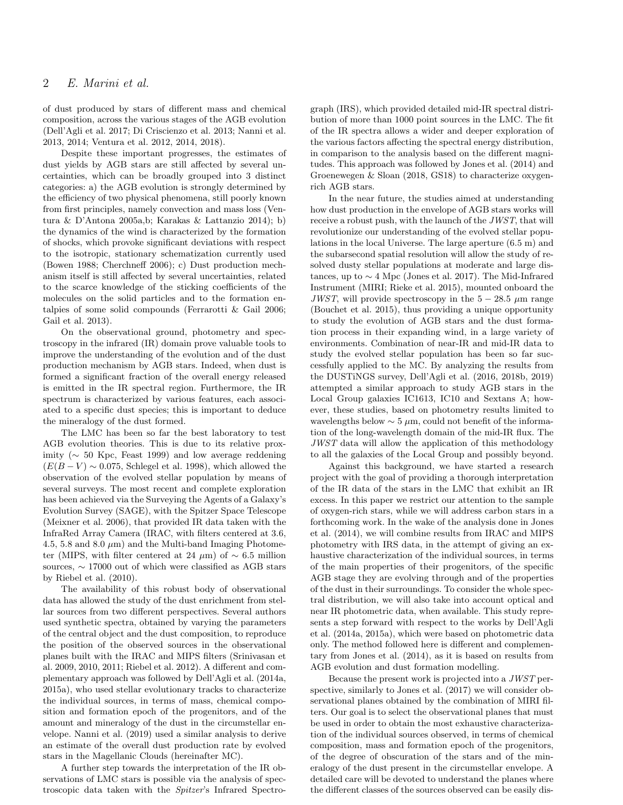of dust produced by stars of different mass and chemical composition, across the various stages of the AGB evolution (Dell'Agli et al. 2017; Di Criscienzo et al. 2013; Nanni et al. 2013, 2014; Ventura et al. 2012, 2014, 2018).

Despite these important progresses, the estimates of dust yields by AGB stars are still affected by several uncertainties, which can be broadly grouped into 3 distinct categories: a) the AGB evolution is strongly determined by the efficiency of two physical phenomena, still poorly known from first principles, namely convection and mass loss (Ventura & D'Antona 2005a,b; Karakas & Lattanzio 2014); b) the dynamics of the wind is characterized by the formation of shocks, which provoke significant deviations with respect to the isotropic, stationary schematization currently used (Bowen 1988; Cherchneff 2006); c) Dust production mechanism itself is still affected by several uncertainties, related to the scarce knowledge of the sticking coefficients of the molecules on the solid particles and to the formation entalpies of some solid compounds (Ferrarotti & Gail 2006; Gail et al. 2013).

On the observational ground, photometry and spectroscopy in the infrared (IR) domain prove valuable tools to improve the understanding of the evolution and of the dust production mechanism by AGB stars. Indeed, when dust is formed a significant fraction of the overall energy released is emitted in the IR spectral region. Furthermore, the IR spectrum is characterized by various features, each associated to a specific dust species; this is important to deduce the mineralogy of the dust formed.

The LMC has been so far the best laboratory to test AGB evolution theories. This is due to its relative proximity ( $\sim$  50 Kpc, Feast 1999) and low average reddening  $(E(B - V) \sim 0.075$ , Schlegel et al. 1998), which allowed the observation of the evolved stellar population by means of several surveys. The most recent and complete exploration has been achieved via the Surveying the Agents of a Galaxy's Evolution Survey (SAGE), with the Spitzer Space Telescope (Meixner et al. 2006), that provided IR data taken with the InfraRed Array Camera (IRAC, with filters centered at 3.6, 4.5, 5.8 and 8.0  $\mu$ m) and the Multi-band Imaging Photometer (MIPS, with filter centered at 24  $\mu$ m) of ~ 6.5 million sources, ∼ 17000 out of which were classified as AGB stars by Riebel et al. (2010).

The availability of this robust body of observational data has allowed the study of the dust enrichment from stellar sources from two different perspectives. Several authors used synthetic spectra, obtained by varying the parameters of the central object and the dust composition, to reproduce the position of the observed sources in the observational planes built with the IRAC and MIPS filters (Srinivasan et al. 2009, 2010, 2011; Riebel et al. 2012). A different and complementary approach was followed by Dell'Agli et al. (2014a, 2015a), who used stellar evolutionary tracks to characterize the individual sources, in terms of mass, chemical composition and formation epoch of the progenitors, and of the amount and mineralogy of the dust in the circumstellar envelope. Nanni et al. (2019) used a similar analysis to derive an estimate of the overall dust production rate by evolved stars in the Magellanic Clouds (hereinafter MC).

A further step towards the interpretation of the IR observations of LMC stars is possible via the analysis of spectroscopic data taken with the Spitzer's Infrared Spectrograph (IRS), which provided detailed mid-IR spectral distribution of more than 1000 point sources in the LMC. The fit of the IR spectra allows a wider and deeper exploration of the various factors affecting the spectral energy distribution, in comparison to the analysis based on the different magnitudes. This approach was followed by Jones et al. (2014) and Groenewegen & Sloan (2018, GS18) to characterize oxygenrich AGB stars.

In the near future, the studies aimed at understanding how dust production in the envelope of AGB stars works will receive a robust push, with the launch of the JWST, that will revolutionize our understanding of the evolved stellar populations in the local Universe. The large aperture (6.5 m) and the subarsecond spatial resolution will allow the study of resolved dusty stellar populations at moderate and large distances, up to ∼ 4 Mpc (Jones et al. 2017). The Mid-Infrared Instrument (MIRI; Rieke et al. 2015), mounted onboard the JWST, will provide spectroscopy in the  $5 - 28.5 \mu m$  range (Bouchet et al. 2015), thus providing a unique opportunity to study the evolution of AGB stars and the dust formation process in their expanding wind, in a large variety of environments. Combination of near-IR and mid-IR data to study the evolved stellar population has been so far successfully applied to the MC. By analyzing the results from the DUSTiNGS survey, Dell'Agli et al. (2016, 2018b, 2019) attempted a similar approach to study AGB stars in the Local Group galaxies IC1613, IC10 and Sextans A; however, these studies, based on photometry results limited to wavelengths below  $\sim 5 \mu$ m, could not benefit of the information of the long-wavelength domain of the mid-IR flux. The JWST data will allow the application of this methodology to all the galaxies of the Local Group and possibly beyond.

Against this background, we have started a research project with the goal of providing a thorough interpretation of the IR data of the stars in the LMC that exhibit an IR excess. In this paper we restrict our attention to the sample of oxygen-rich stars, while we will address carbon stars in a forthcoming work. In the wake of the analysis done in Jones et al. (2014), we will combine results from IRAC and MIPS photometry with IRS data, in the attempt of giving an exhaustive characterization of the individual sources, in terms of the main properties of their progenitors, of the specific AGB stage they are evolving through and of the properties of the dust in their surroundings. To consider the whole spectral distribution, we will also take into account optical and near IR photometric data, when available. This study represents a step forward with respect to the works by Dell'Agli et al. (2014a, 2015a), which were based on photometric data only. The method followed here is different and complementary from Jones et al. (2014), as it is based on results from AGB evolution and dust formation modelling.

Because the present work is projected into a JWST perspective, similarly to Jones et al. (2017) we will consider observational planes obtained by the combination of MIRI filters. Our goal is to select the observational planes that must be used in order to obtain the most exhaustive characterization of the individual sources observed, in terms of chemical composition, mass and formation epoch of the progenitors, of the degree of obscuration of the stars and of the mineralogy of the dust present in the circumstellar envelope. A detailed care will be devoted to understand the planes where the different classes of the sources observed can be easily dis-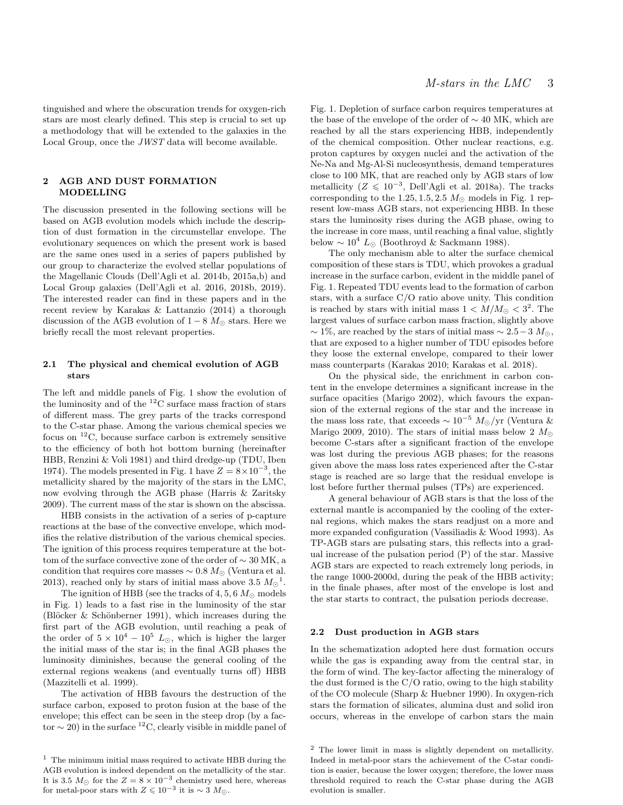tinguished and where the obscuration trends for oxygen-rich stars are most clearly defined. This step is crucial to set up a methodology that will be extended to the galaxies in the Local Group, once the JWST data will become available.

## 2 AGB AND DUST FORMATION MODELLING

The discussion presented in the following sections will be based on AGB evolution models which include the description of dust formation in the circumstellar envelope. The evolutionary sequences on which the present work is based are the same ones used in a series of papers published by our group to characterize the evolved stellar populations of the Magellanic Clouds (Dell'Agli et al. 2014b, 2015a,b) and Local Group galaxies (Dell'Agli et al. 2016, 2018b, 2019). The interested reader can find in these papers and in the recent review by Karakas & Lattanzio (2014) a thorough discussion of the AGB evolution of  $1-8$   $M_{\odot}$  stars. Here we briefly recall the most relevant properties.

## 2.1 The physical and chemical evolution of AGB stars

The left and middle panels of Fig. 1 show the evolution of the luminosity and of the  ${}^{12}$ C surface mass fraction of stars of different mass. The grey parts of the tracks correspond to the C-star phase. Among the various chemical species we focus on  ${}^{12}$ C, because surface carbon is extremely sensitive to the efficiency of both hot bottom burning (hereinafter HBB, Renzini & Voli 1981) and third dredge-up (TDU, Iben 1974). The models presented in Fig. 1 have  $Z = 8 \times 10^{-3}$ , the metallicity shared by the majority of the stars in the LMC, now evolving through the AGB phase (Harris & Zaritsky 2009). The current mass of the star is shown on the abscissa.

HBB consists in the activation of a series of p-capture reactions at the base of the convective envelope, which modifies the relative distribution of the various chemical species. The ignition of this process requires temperature at the bottom of the surface convective zone of the order of  $\sim 30$  MK, a condition that requires core masses  $\sim 0.8 M_{\odot}$  (Ventura et al. 2013), reached only by stars of initial mass above 3.5  $M_{\odot}^{-1}$ .

The ignition of HBB (see the tracks of 4, 5, 6  $M_{\odot}$  models in Fig. 1) leads to a fast rise in the luminosity of the star (Blöcker & Schönberner 1991), which increases during the first part of the AGB evolution, until reaching a peak of the order of  $5 \times 10^4 - 10^5$  L<sub>☉</sub>, which is higher the larger the initial mass of the star is; in the final AGB phases the luminosity diminishes, because the general cooling of the external regions weakens (and eventually turns off) HBB (Mazzitelli et al. 1999).

The activation of HBB favours the destruction of the surface carbon, exposed to proton fusion at the base of the envelope; this effect can be seen in the steep drop (by a factor  $\sim$  20) in the surface <sup>12</sup>C, clearly visible in middle panel of Fig. 1. Depletion of surface carbon requires temperatures at the base of the envelope of the order of  $\sim$  40 MK, which are reached by all the stars experiencing HBB, independently of the chemical composition. Other nuclear reactions, e.g. proton captures by oxygen nuclei and the activation of the Ne-Na and Mg-Al-Si nucleosynthesis, demand temperatures close to 100 MK, that are reached only by AGB stars of low metallicity ( $Z \leq 10^{-3}$ , Dell'Agli et al. 2018a). The tracks corresponding to the 1.25, 1.5, 2.5  $M_{\odot}$  models in Fig. 1 represent low-mass AGB stars, not experiencing HBB. In these stars the luminosity rises during the AGB phase, owing to the increase in core mass, until reaching a final value, slightly below  $\sim 10^4$  L<sub>☉</sub> (Boothroyd & Sackmann 1988).

The only mechanism able to alter the surface chemical composition of these stars is TDU, which provokes a gradual increase in the surface carbon, evident in the middle panel of Fig. 1. Repeated TDU events lead to the formation of carbon stars, with a surface C/O ratio above unity. This condition is reached by stars with initial mass  $1 < M/M_{\odot} < 3^2$ . The largest values of surface carbon mass fraction, slightly above  $\sim$  1\%, are reached by the stars of initial mass  $\sim$  2.5 – 3  $M_{\odot}$ , that are exposed to a higher number of TDU episodes before they loose the external envelope, compared to their lower mass counterparts (Karakas 2010; Karakas et al. 2018).

On the physical side, the enrichment in carbon content in the envelope determines a significant increase in the surface opacities (Marigo 2002), which favours the expansion of the external regions of the star and the increase in the mass loss rate, that exceeds  $\sim 10^{-5}$  M<sub>☉</sub>/yr (Ventura & Marigo 2009, 2010). The stars of initial mass below 2  $M_{\odot}$ become C-stars after a significant fraction of the envelope was lost during the previous AGB phases; for the reasons given above the mass loss rates experienced after the C-star stage is reached are so large that the residual envelope is lost before further thermal pulses (TPs) are experienced.

A general behaviour of AGB stars is that the loss of the external mantle is accompanied by the cooling of the external regions, which makes the stars readjust on a more and more expanded configuration (Vassiliadis & Wood 1993). As TP-AGB stars are pulsating stars, this reflects into a gradual increase of the pulsation period (P) of the star. Massive AGB stars are expected to reach extremely long periods, in the range 1000-2000d, during the peak of the HBB activity; in the finale phases, after most of the envelope is lost and the star starts to contract, the pulsation periods decrease.

#### 2.2 Dust production in AGB stars

In the schematization adopted here dust formation occurs while the gas is expanding away from the central star, in the form of wind. The key-factor affecting the mineralogy of the dust formed is the C/O ratio, owing to the high stability of the CO molecule (Sharp & Huebner 1990). In oxygen-rich stars the formation of silicates, alumina dust and solid iron occurs, whereas in the envelope of carbon stars the main

 $^{\rm 1}$  The minimum initial mass required to activate HBB during the AGB evolution is indeed dependent on the metallicity of the star. It is 3.5  $M_{\odot}$  for the  $Z = 8 \times 10^{-3}$  chemistry used here, whereas for metal-poor stars with  $Z \leq 10^{-3}$  it is ~ 3  $M_{\odot}$ .

<sup>2</sup> The lower limit in mass is slightly dependent on metallicity. Indeed in metal-poor stars the achievement of the C-star condition is easier, because the lower oxygen; therefore, the lower mass threshold required to reach the C-star phase during the AGB evolution is smaller.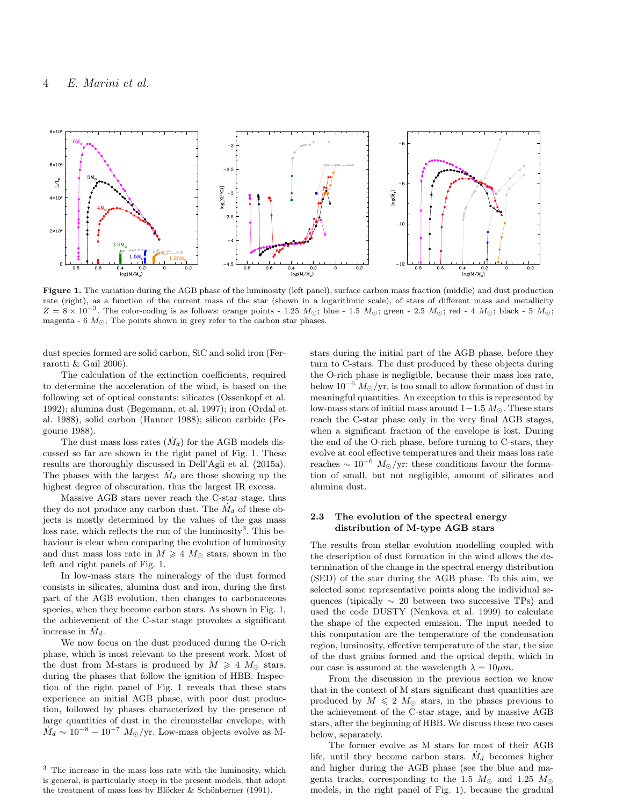

Figure 1. The variation during the AGB phase of the luminosity (left panel), surface carbon mass fraction (middle) and dust production rate (right), as a function of the current mass of the star (shown in a logarithmic scale), of stars of different mass and metallicity  $Z = 8 \times 10^{-3}$ . The color-coding is as follows: orange points - 1.25  $M_{\odot}$ ; blue - 1.5  $M_{\odot}$ ; green - 2.5  $M_{\odot}$ ; red - 4  $M_{\odot}$ ; black - 5  $M_{\odot}$ ; magenta - 6  $M_{\odot}$ ; The points shown in grey refer to the carbon star phases.

dust species formed are solid carbon, SiC and solid iron (Ferrarotti & Gail 2006).

The calculation of the extinction coefficients, required to determine the acceleration of the wind, is based on the following set of optical constants: silicates (Ossenkopf et al. 1992); alumina dust (Begemann, et al. 1997); iron (Ordal et al. 1988), solid carbon (Hanner 1988); silicon carbide (Pegourie 1988).

The dust mass loss rates  $(M_d)$  for the AGB models discussed so far are shown in the right panel of Fig. 1. These results are thoroughly discussed in Dell'Agli et al. (2015a). The phases with the largest  $\dot{M}_d$  are those showing up the highest degree of obscuration, thus the largest IR excess.

Massive AGB stars never reach the C-star stage, thus they do not produce any carbon dust. The  $\dot{M}_d$  of these objects is mostly determined by the values of the gas mass loss rate, which reflects the run of the luminosity<sup>3</sup>. This behaviour is clear when comparing the evolution of luminosity and dust mass loss rate in  $M \geq 4$   $M_{\odot}$  stars, shown in the left and right panels of Fig. 1.

In low-mass stars the mineralogy of the dust formed consists in silicates, alumina dust and iron, during the first part of the AGB evolution, then changes to carbonaceous species, when they become carbon stars. As shown in Fig. 1, the achievement of the C-star stage provokes a significant increase in  $\dot{M}_d$ .

We now focus on the dust produced during the O-rich phase, which is most relevant to the present work. Most of the dust from M-stars is produced by  $M \geq 4$   $M_{\odot}$  stars, during the phases that follow the ignition of HBB. Inspection of the right panel of Fig. 1 reveals that these stars experience an initial AGB phase, with poor dust production, followed by phases characterized by the presence of large quantities of dust in the circumstellar envelope, with  $\dot{M}_d \sim 10^{-8} - 10^{-7} M_\odot/\text{yr}$ . Low-mass objects evolve as M-

stars during the initial part of the AGB phase, before they turn to C-stars. The dust produced by these objects during the O-rich phase is negligible, because their mass loss rate, below  $10^{-6}$   $M_{\odot}/yr$ , is too small to allow formation of dust in meaningful quantities. An exception to this is represented by low-mass stars of initial mass around  $1-1.5 M_{\odot}$ . These stars reach the C-star phase only in the very final AGB stages, when a significant fraction of the envelope is lost. During the end of the O-rich phase, before turning to C-stars, they evolve at cool effective temperatures and their mass loss rate reaches  $\sim 10^{-6}$   $M_{\odot}/yr$ : these conditions favour the formation of small, but not negligible, amount of silicates and alumina dust.

## 2.3 The evolution of the spectral energy distribution of M-type AGB stars

The results from stellar evolution modelling coupled with the description of dust formation in the wind allows the determination of the change in the spectral energy distribution (SED) of the star during the AGB phase. To this aim, we selected some representative points along the individual sequences (tipically  $\sim$  20 between two successive TPs) and used the code DUSTY (Nenkova et al. 1999) to calculate the shape of the expected emission. The input needed to this computation are the temperature of the condensation region, luminosity, effective temperature of the star, the size of the dust grains formed and the optical depth, which in our case is assumed at the wavelength  $\lambda = 10 \mu m$ .

From the discussion in the previous section we know that in the context of M stars significant dust quantities are produced by  $M \leq 2$   $M_{\odot}$  stars, in the phases previous to the achievement of the C-star stage, and by massive AGB stars, after the beginning of HBB. We discuss these two cases below, separately.

The former evolve as M stars for most of their AGB life, until they become carbon stars.  $\dot{M}_d$  becomes higher and higher during the AGB phase (see the blue and magenta tracks, corresponding to the 1.5  $M_{\odot}$  and 1.25  $M_{\odot}$ models, in the right panel of Fig. 1), because the gradual

<sup>3</sup> The increase in the mass loss rate with the luminosity, which is general, is particularly steep in the present models, that adopt the treatment of mass loss by Blöcker & Schönberner (1991).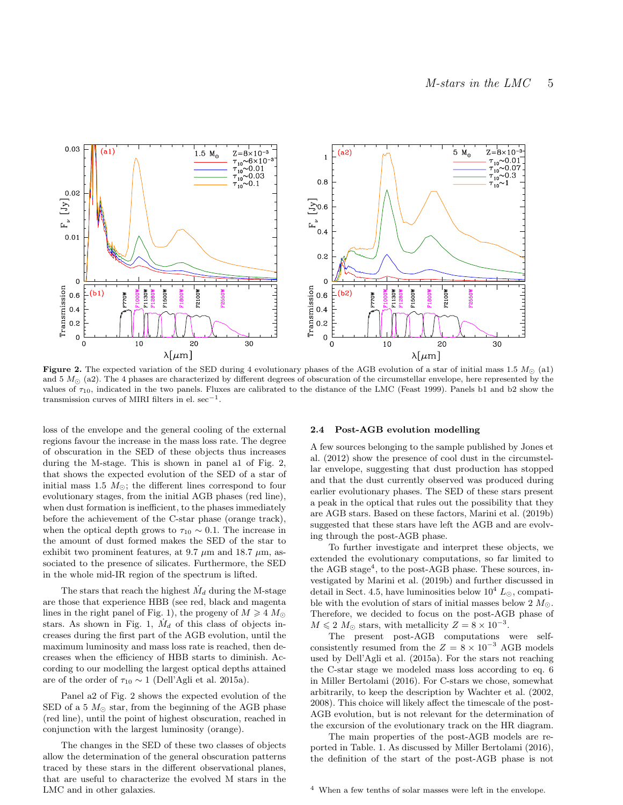

Figure 2. The expected variation of the SED during 4 evolutionary phases of the AGB evolution of a star of initial mass 1.5  $M_{\odot}$  (a1) and  $5 M_{\odot}$  (a2). The 4 phases are characterized by different degrees of obscuration of the circumstellar envelope, here represented by the values of  $\tau_{10}$ , indicated in the two panels. Fluxes are calibrated to the distance of the LMC (Feast 1999). Panels b1 and b2 show the transmission curves of MIRI filters in el. sec<sup>-1</sup>.

loss of the envelope and the general cooling of the external regions favour the increase in the mass loss rate. The degree of obscuration in the SED of these objects thus increases during the M-stage. This is shown in panel a1 of Fig. 2, that shows the expected evolution of the SED of a star of initial mass 1.5  $M_{\odot}$ ; the different lines correspond to four evolutionary stages, from the initial AGB phases (red line), when dust formation is inefficient, to the phases immediately before the achievement of the C-star phase (orange track), when the optical depth grows to  $\tau_{10} \sim 0.1$ . The increase in the amount of dust formed makes the SED of the star to exhibit two prominent features, at 9.7  $\mu$ m and 18.7  $\mu$ m, associated to the presence of silicates. Furthermore, the SED in the whole mid-IR region of the spectrum is lifted.

The stars that reach the highest  $\dot{M}_d$  during the M-stage are those that experience HBB (see red, black and magenta lines in the right panel of Fig. 1), the progeny of  $M \geq 4$   $M_{\odot}$ stars. As shown in Fig. 1,  $\dot{M}_d$  of this class of objects increases during the first part of the AGB evolution, until the maximum luminosity and mass loss rate is reached, then decreases when the efficiency of HBB starts to diminish. According to our modelling the largest optical depths attained are of the order of  $\tau_{10} \sim 1$  (Dell'Agli et al. 2015a).

Panel a2 of Fig. 2 shows the expected evolution of the SED of a 5  $M_{\odot}$  star, from the beginning of the AGB phase (red line), until the point of highest obscuration, reached in conjunction with the largest luminosity (orange).

The changes in the SED of these two classes of objects allow the determination of the general obscuration patterns traced by these stars in the different observational planes, that are useful to characterize the evolved M stars in the LMC and in other galaxies.

#### 2.4 Post-AGB evolution modelling

A few sources belonging to the sample published by Jones et al. (2012) show the presence of cool dust in the circumstellar envelope, suggesting that dust production has stopped and that the dust currently observed was produced during earlier evolutionary phases. The SED of these stars present a peak in the optical that rules out the possibility that they are AGB stars. Based on these factors, Marini et al. (2019b) suggested that these stars have left the AGB and are evolving through the post-AGB phase.

To further investigate and interpret these objects, we extended the evolutionary computations, so far limited to the AGB stage<sup>4</sup>, to the post-AGB phase. These sources, investigated by Marini et al. (2019b) and further discussed in detail in Sect. 4.5, have luminosities below  $10^4$  L<sub> $\odot$ </sub>, compatible with the evolution of stars of initial masses below 2  $M_{\odot}$ . Therefore, we decided to focus on the post-AGB phase of  $M \leq 2 M_{\odot}$  stars, with metallicity  $Z = 8 \times 10^{-3}$ .

The present post-AGB computations were selfconsistently resumed from the  $Z = 8 \times 10^{-3}$  AGB models used by Dell'Agli et al. (2015a). For the stars not reaching the C-star stage we modeled mass loss according to eq. 6 in Miller Bertolami (2016). For C-stars we chose, somewhat arbitrarily, to keep the description by Wachter et al. (2002, 2008). This choice will likely affect the timescale of the post-AGB evolution, but is not relevant for the determination of the excursion of the evolutionary track on the HR diagram.

The main properties of the post-AGB models are reported in Table. 1. As discussed by Miller Bertolami (2016), the definition of the start of the post-AGB phase is not

<sup>4</sup> When a few tenths of solar masses were left in the envelope.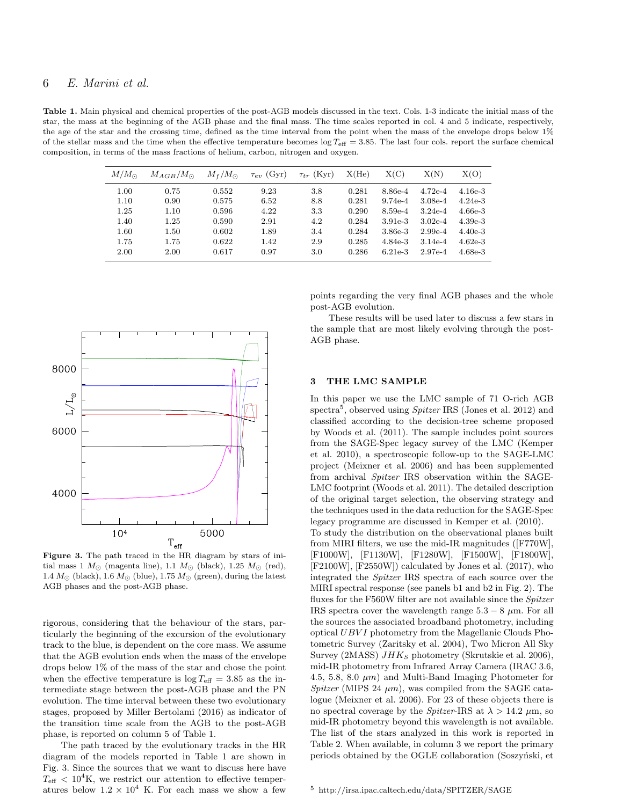## 6 E. Marini et al.

Table 1. Main physical and chemical properties of the post-AGB models discussed in the text. Cols. 1-3 indicate the initial mass of the star, the mass at the beginning of the AGB phase and the final mass. The time scales reported in col. 4 and 5 indicate, respectively, the age of the star and the crossing time, defined as the time interval from the point when the mass of the envelope drops below 1% of the stellar mass and the time when the effective temperature becomes  $\log T_{\text{eff}} = 3.85$ . The last four cols. report the surface chemical composition, in terms of the mass fractions of helium, carbon, nitrogen and oxygen.

| X(C)<br>X(N)<br>X(He)<br>$M/M_{\odot}$<br>$\tau_{ev}$ (Gyr)<br>$\tau_{tr}$ (Kyr)<br>$M_f/M_{\odot}$<br>$M_{AGB}/M_{\odot}$<br>1.00<br>0.75<br>0.552<br>9.23<br>3.8<br>0.281<br>8.86e-4<br>$4.72e-4$ |           |
|-----------------------------------------------------------------------------------------------------------------------------------------------------------------------------------------------------|-----------|
|                                                                                                                                                                                                     | X(O)      |
|                                                                                                                                                                                                     | $4.16e-3$ |
| 1.10<br>0.575<br>$9.74e-4$<br>0.90<br>6.52<br>8.8<br>0.281<br>$3.08e-4$                                                                                                                             | $4.24e-3$ |
| 1.25<br>4.22<br>3.3<br>1.10<br>0.596<br>0.290<br>8.59e-4<br>$3.24e-4$                                                                                                                               | $4.66e-3$ |
| 1.40<br>4.2<br>1.25<br>2.91<br>$3.02e-4$<br>0.590<br>0.284<br>$3.91e-3$                                                                                                                             | $4.39e-3$ |
| 1.60<br>1.50<br>1.89<br>0.284<br>$2.99e-4$<br>3.4<br>$3.86e-3$<br>0.602                                                                                                                             | $4.40e-3$ |
| 1.75<br>1.75<br>2.9<br>0.285<br>0.622<br>1.42<br>$4.84e-3$<br>$3.14e-4$                                                                                                                             | $4.62e-3$ |
| 2.00<br>3.0<br>0.286<br>2.00<br>0.97<br>$6.21e-3$<br>$2.97e-4$<br>0.617                                                                                                                             | $4.68e-3$ |



Figure 3. The path traced in the HR diagram by stars of initial mass 1  $M_{\odot}$  (magenta line), 1.1  $M_{\odot}$  (black), 1.25  $M_{\odot}$  (red), 1.4  $M_{\odot}$  (black), 1.6  $M_{\odot}$  (blue), 1.75  $M_{\odot}$  (green), during the latest AGB phases and the post-AGB phase.

rigorous, considering that the behaviour of the stars, particularly the beginning of the excursion of the evolutionary track to the blue, is dependent on the core mass. We assume that the AGB evolution ends when the mass of the envelope drops below 1% of the mass of the star and chose the point when the effective temperature is  $\log T_{\text{eff}} = 3.85$  as the intermediate stage between the post-AGB phase and the PN evolution. The time interval between these two evolutionary stages, proposed by Miller Bertolami (2016) as indicator of the transition time scale from the AGB to the post-AGB phase, is reported on column 5 of Table 1.

The path traced by the evolutionary tracks in the HR diagram of the models reported in Table 1 are shown in Fig. 3. Since the sources that we want to discuss here have  $T_{\text{eff}} < 10^4$ K, we restrict our attention to effective temperatures below  $1.2 \times 10^4$  K. For each mass we show a few

points regarding the very final AGB phases and the whole post-AGB evolution.

These results will be used later to discuss a few stars in the sample that are most likely evolving through the post-AGB phase.

## 3 THE LMC SAMPLE

In this paper we use the LMC sample of 71 O-rich AGB spectra<sup>5</sup>, observed using *Spitzer* IRS (Jones et al. 2012) and classified according to the decision-tree scheme proposed by Woods et al. (2011). The sample includes point sources from the SAGE-Spec legacy survey of the LMC (Kemper et al. 2010), a spectroscopic follow-up to the SAGE-LMC project (Meixner et al. 2006) and has been supplemented from archival Spitzer IRS observation within the SAGE-LMC footprint (Woods et al. 2011). The detailed description of the original target selection, the observing strategy and the techniques used in the data reduction for the SAGE-Spec legacy programme are discussed in Kemper et al. (2010).

To study the distribution on the observational planes built from MIRI filters, we use the mid-IR magnitudes ([F770W], [F1000W], [F1130W], [F1280W], [F1500W], [F1800W], [F2100W], [F2550W]) calculated by Jones et al. (2017), who integrated the Spitzer IRS spectra of each source over the MIRI spectral response (see panels b1 and b2 in Fig. 2). The fluxes for the F560W filter are not available since the Spitzer IRS spectra cover the wavelength range  $5.3 - 8 \mu m$ . For all the sources the associated broadband photometry, including optical UBVI photometry from the Magellanic Clouds Photometric Survey (Zaritsky et al. 2004), Two Micron All Sky Survey (2MASS)  $JHK_S$  photometry (Skrutskie et al. 2006), mid-IR photometry from Infrared Array Camera (IRAC 3.6, 4.5, 5.8, 8.0  $\mu$ m) and Multi-Band Imaging Photometer for Spitzer (MIPS 24  $\mu$ m), was compiled from the SAGE catalogue (Meixner et al. 2006). For 23 of these objects there is no spectral coverage by the *Spitzer*-IRS at  $\lambda > 14.2$   $\mu$ m, so mid-IR photometry beyond this wavelength is not available. The list of the stars analyzed in this work is reported in Table 2. When available, in column 3 we report the primary periods obtained by the OGLE collaboration (Soszyński, et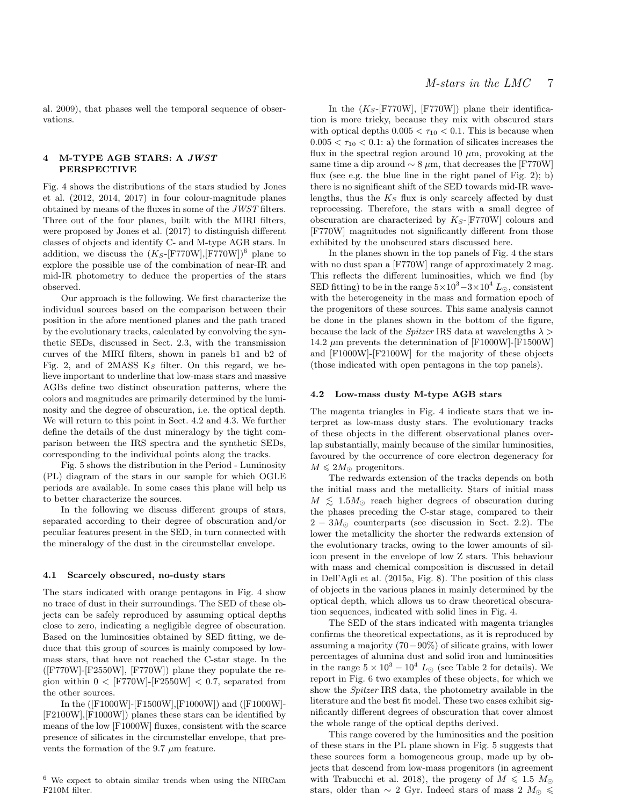al. 2009), that phases well the temporal sequence of observations.

## 4 M-TYPE AGB STARS: A JWST PERSPECTIVE

Fig. 4 shows the distributions of the stars studied by Jones et al. (2012, 2014, 2017) in four colour-magnitude planes obtained by means of the fluxes in some of the JWST filters. Three out of the four planes, built with the MIRI filters, were proposed by Jones et al. (2017) to distinguish different classes of objects and identify C- and M-type AGB stars. In addition, we discuss the  $(K_S- [F770W], [F770W])^6$  plane to explore the possible use of the combination of near-IR and mid-IR photometry to deduce the properties of the stars observed.

Our approach is the following. We first characterize the individual sources based on the comparison between their position in the afore mentioned planes and the path traced by the evolutionary tracks, calculated by convolving the synthetic SEDs, discussed in Sect. 2.3, with the transmission curves of the MIRI filters, shown in panels b1 and b2 of Fig. 2, and of 2MASS  $K_S$  filter. On this regard, we believe important to underline that low-mass stars and massive AGBs define two distinct obscuration patterns, where the colors and magnitudes are primarily determined by the luminosity and the degree of obscuration, i.e. the optical depth. We will return to this point in Sect. 4.2 and 4.3. We further define the details of the dust mineralogy by the tight comparison between the IRS spectra and the synthetic SEDs, corresponding to the individual points along the tracks.

Fig. 5 shows the distribution in the Period - Luminosity (PL) diagram of the stars in our sample for which OGLE periods are available. In some cases this plane will help us to better characterize the sources.

In the following we discuss different groups of stars, separated according to their degree of obscuration and/or peculiar features present in the SED, in turn connected with the mineralogy of the dust in the circumstellar envelope.

#### 4.1 Scarcely obscured, no-dusty stars

The stars indicated with orange pentagons in Fig. 4 show no trace of dust in their surroundings. The SED of these objects can be safely reproduced by assuming optical depths close to zero, indicating a negligible degree of obscuration. Based on the luminosities obtained by SED fitting, we deduce that this group of sources is mainly composed by lowmass stars, that have not reached the C-star stage. In the  $([F770W]$ - $[F2550W]$ ,  $[F770W]$ ) plane they populate the region within  $0 <$  [F770W]-[F2550W]  $< 0.7$ , separated from the other sources.

In the ([F1000W]-[F1500W],[F1000W]) and ([F1000W]- [F2100W],[F1000W]) planes these stars can be identified by means of the low [F1000W] fluxes, consistent with the scarce presence of silicates in the circumstellar envelope, that prevents the formation of the 9.7  $\mu$ m feature.

## <sup>6</sup> We expect to obtain similar trends when using the NIRCam F210M filter.

In the  $(K_S$ -[F770W], [F770W]) plane their identification is more tricky, because they mix with obscured stars with optical depths  $0.005 < \tau_{10} < 0.1$ . This is because when  $0.005 < \tau_{10} < 0.1$ : a) the formation of silicates increases the flux in the spectral region around 10  $\mu$ m, provoking at the same time a dip around  $\sim 8 \mu m$ , that decreases the [F770W] flux (see e.g. the blue line in the right panel of Fig. 2); b) there is no significant shift of the SED towards mid-IR wavelengths, thus the  $K<sub>S</sub>$  flux is only scarcely affected by dust reprocessing. Therefore, the stars with a small degree of obscuration are characterized by  $K_S$ -[F770W] colours and [F770W] magnitudes not significantly different from those exhibited by the unobscured stars discussed here.

In the planes shown in the top panels of Fig. 4 the stars with no dust span a [F770W] range of approximately 2 mag. This reflects the different luminosities, which we find (by SED fitting) to be in the range  $5 \times 10^3 - 3 \times 10^4$  L<sub>o</sub>, consistent with the heterogeneity in the mass and formation epoch of the progenitors of these sources. This same analysis cannot be done in the planes shown in the bottom of the figure, because the lack of the *Spitzer* IRS data at wavelengths  $\lambda$ 14.2  $\mu$ m prevents the determination of [F1000W]-[F1500W] and [F1000W]-[F2100W] for the majority of these objects (those indicated with open pentagons in the top panels).

#### 4.2 Low-mass dusty M-type AGB stars

The magenta triangles in Fig. 4 indicate stars that we interpret as low-mass dusty stars. The evolutionary tracks of these objects in the different observational planes overlap substantially, mainly because of the similar luminosities, favoured by the occurrence of core electron degeneracy for  $M \leq 2M_{\odot}$  progenitors.

The redwards extension of the tracks depends on both the initial mass and the metallicity. Stars of initial mass  $M \leq 1.5 M_{\odot}$  reach higher degrees of obscuration during the phases preceding the C-star stage, compared to their  $2 - 3M_{\odot}$  counterparts (see discussion in Sect. 2.2). The lower the metallicity the shorter the redwards extension of the evolutionary tracks, owing to the lower amounts of silicon present in the envelope of low Z stars. This behaviour with mass and chemical composition is discussed in detail in Dell'Agli et al. (2015a, Fig. 8). The position of this class of objects in the various planes in mainly determined by the optical depth, which allows us to draw theoretical obscuration sequences, indicated with solid lines in Fig. 4.

The SED of the stars indicated with magenta triangles confirms the theoretical expectations, as it is reproduced by assuming a majority (70−90%) of silicate grains, with lower percentages of alumina dust and solid iron and luminosities in the range  $5 \times 10^3 - 10^4$  L<sub>o</sub> (see Table 2 for details). We report in Fig. 6 two examples of these objects, for which we show the Spitzer IRS data, the photometry available in the literature and the best fit model. These two cases exhibit significantly different degrees of obscuration that cover almost the whole range of the optical depths derived.

This range covered by the luminosities and the position of these stars in the PL plane shown in Fig. 5 suggests that these sources form a homogeneous group, made up by objects that descend from low-mass progenitors (in agreement with Trabucchi et al. 2018), the progeny of  $M \leq 1.5$   $M_{\odot}$ stars, older than  $\sim$  2 Gyr. Indeed stars of mass 2  $M_{\odot} \le$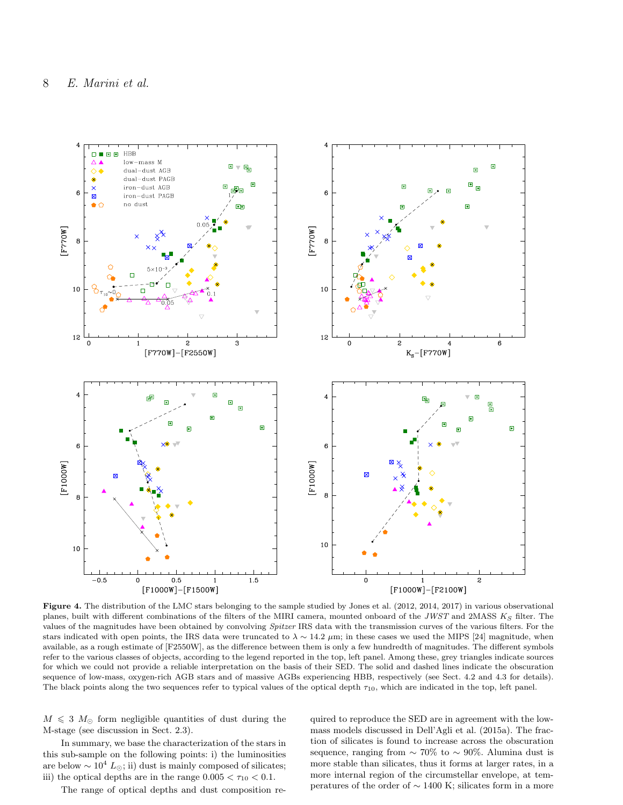

Figure 4. The distribution of the LMC stars belonging to the sample studied by Jones et al. (2012, 2014, 2017) in various observational planes, built with different combinations of the filters of the MIRI camera, mounted onboard of the JWST and 2MASS  $K_S$  filter. The values of the magnitudes have been obtained by convolving Spitzer IRS data with the transmission curves of the various filters. For the stars indicated with open points, the IRS data were truncated to  $\lambda \sim 14.2 \ \mu m$ ; in these cases we used the MIPS [24] magnitude, when available, as a rough estimate of [F2550W], as the difference between them is only a few hundredth of magnitudes. The different symbols refer to the various classes of objects, according to the legend reported in the top, left panel. Among these, grey triangles indicate sources for which we could not provide a reliable interpretation on the basis of their SED. The solid and dashed lines indicate the obscuration sequence of low-mass, oxygen-rich AGB stars and of massive AGBs experiencing HBB, respectively (see Sect. 4.2 and 4.3 for details). The black points along the two sequences refer to typical values of the optical depth  $\tau_{10}$ , which are indicated in the top, left panel.

 $M \leq 3$   $M_{\odot}$  form negligible quantities of dust during the M-stage (see discussion in Sect. 2.3).

In summary, we base the characterization of the stars in this sub-sample on the following points: i) the luminosities are below  $\sim 10^4$   $L_{\odot};$  ii) dust is mainly composed of silicates; iii) the optical depths are in the range  $0.005 < \tau_{10} < 0.1$ .

The range of optical depths and dust composition re-

quired to reproduce the SED are in agreement with the lowmass models discussed in Dell'Agli et al. (2015a). The fraction of silicates is found to increase across the obscuration sequence, ranging from  $\sim 70\%$  to  $\sim 90\%$ . Alumina dust is more stable than silicates, thus it forms at larger rates, in a more internal region of the circumstellar envelope, at temperatures of the order of  $\sim$  1400 K; silicates form in a more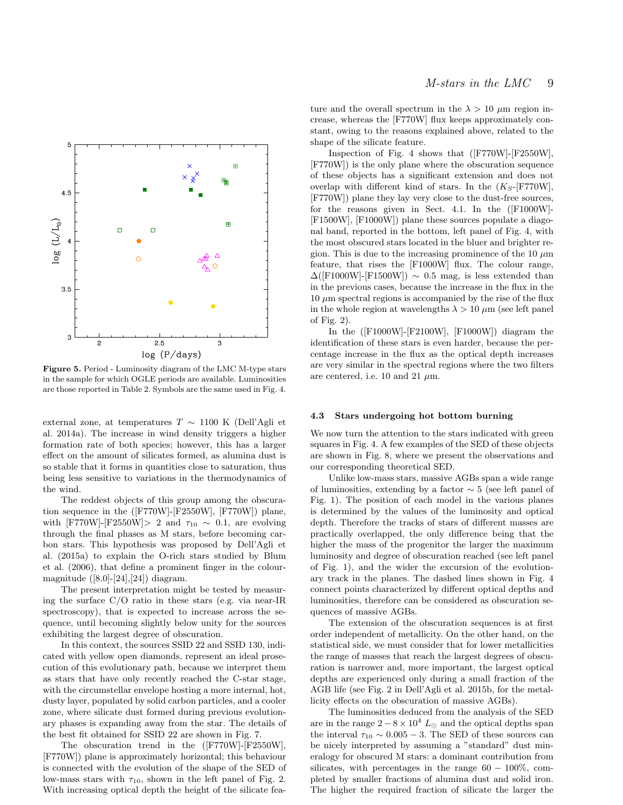

Figure 5. Period - Luminosity diagram of the LMC M-type stars in the sample for which OGLE periods are available. Luminosities are those reported in Table 2. Symbols are the same used in Fig. 4.

external zone, at temperatures  $T \sim 1100$  K (Dell'Agli et al. 2014a). The increase in wind density triggers a higher formation rate of both species; however, this has a larger effect on the amount of silicates formed, as alumina dust is so stable that it forms in quantities close to saturation, thus being less sensitive to variations in the thermodynamics of the wind.

The reddest objects of this group among the obscuration sequence in the ([F770W]-[F2550W], [F770W]) plane, with [F770W]-[F2550W]> 2 and  $\tau_{10} \sim 0.1$ , are evolving through the final phases as M stars, before becoming carbon stars. This hypothesis was proposed by Dell'Agli et al. (2015a) to explain the O-rich stars studied by Blum et al. (2006), that define a prominent finger in the colourmagnitude  $([8.0]$ - $[24]$ , $[24]$ ) diagram.

The present interpretation might be tested by measuring the surface C/O ratio in these stars (e.g. via near-IR spectroscopy), that is expected to increase across the sequence, until becoming slightly below unity for the sources exhibiting the largest degree of obscuration.

In this context, the sources SSID 22 and SSID 130, indicated with yellow open diamonds, represent an ideal prosecution of this evolutionary path, because we interpret them as stars that have only recently reached the C-star stage, with the circumstellar envelope hosting a more internal, hot, dusty layer, populated by solid carbon particles, and a cooler zone, where silicate dust formed during previous evolutionary phases is expanding away from the star. The details of the best fit obtained for SSID 22 are shown in Fig. 7.

The obscuration trend in the ([F770W]-[F2550W], [F770W]) plane is approximately horizontal; this behaviour is connected with the evolution of the shape of the SED of low-mass stars with  $\tau_{10}$ , shown in the left panel of Fig. 2. With increasing optical depth the height of the silicate feature and the overall spectrum in the  $\lambda > 10 \mu$ m region increase, whereas the [F770W] flux keeps approximately constant, owing to the reasons explained above, related to the shape of the silicate feature.

Inspection of Fig. 4 shows that ([F770W]-[F2550W], [F770W]) is the only plane where the obscuration sequence of these objects has a significant extension and does not overlap with different kind of stars. In the  $(K_S$ -[F770W], [F770W]) plane they lay very close to the dust-free sources, for the reasons given in Sect. 4.1. In the ([F1000W]- [F1500W], [F1000W]) plane these sources populate a diagonal band, reported in the bottom, left panel of Fig. 4, with the most obscured stars located in the bluer and brighter region. This is due to the increasing prominence of the 10  $\mu$ m feature, that rises the [F1000W] flux. The colour range,  $\Delta$ ([F1000W]-[F1500W]) ~ 0.5 mag, is less extended than in the previous cases, because the increase in the flux in the  $10 \mu m$  spectral regions is accompanied by the rise of the flux in the whole region at wavelengths  $\lambda > 10 \ \mu m$  (see left panel of Fig. 2).

In the ([F1000W]-[F2100W], [F1000W]) diagram the identification of these stars is even harder, because the percentage increase in the flux as the optical depth increases are very similar in the spectral regions where the two filters are centered, i.e. 10 and 21  $\mu$ m.

#### 4.3 Stars undergoing hot bottom burning

We now turn the attention to the stars indicated with green squares in Fig. 4. A few examples of the SED of these objects are shown in Fig. 8, where we present the observations and our corresponding theoretical SED.

Unlike low-mass stars, massive AGBs span a wide range of luminosities, extending by a factor ∼ 5 (see left panel of Fig. 1). The position of each model in the various planes is determined by the values of the luminosity and optical depth. Therefore the tracks of stars of different masses are practically overlapped, the only difference being that the higher the mass of the progenitor the larger the maximum luminosity and degree of obscuration reached (see left panel of Fig. 1), and the wider the excursion of the evolutionary track in the planes. The dashed lines shown in Fig. 4 connect points characterized by different optical depths and luminosities, therefore can be considered as obscuration sequences of massive AGBs.

The extension of the obscuration sequences is at first order independent of metallicity. On the other hand, on the statistical side, we must consider that for lower metallicities the range of masses that reach the largest degrees of obscuration is narrower and, more important, the largest optical depths are experienced only during a small fraction of the AGB life (see Fig. 2 in Dell'Agli et al. 2015b, for the metallicity effects on the obscuration of massive AGBs).

The luminosities deduced from the analysis of the SED are in the range  $2 - 8 \times 10^4$  L<sub>☉</sub> and the optical depths span the interval  $\tau_{10} \sim 0.005 - 3$ . The SED of these sources can be nicely interpreted by assuming a "standard" dust mineralogy for obscured M stars: a dominant contribution from silicates, with percentages in the range  $60 - 100\%$ , completed by smaller fractions of alumina dust and solid iron. The higher the required fraction of silicate the larger the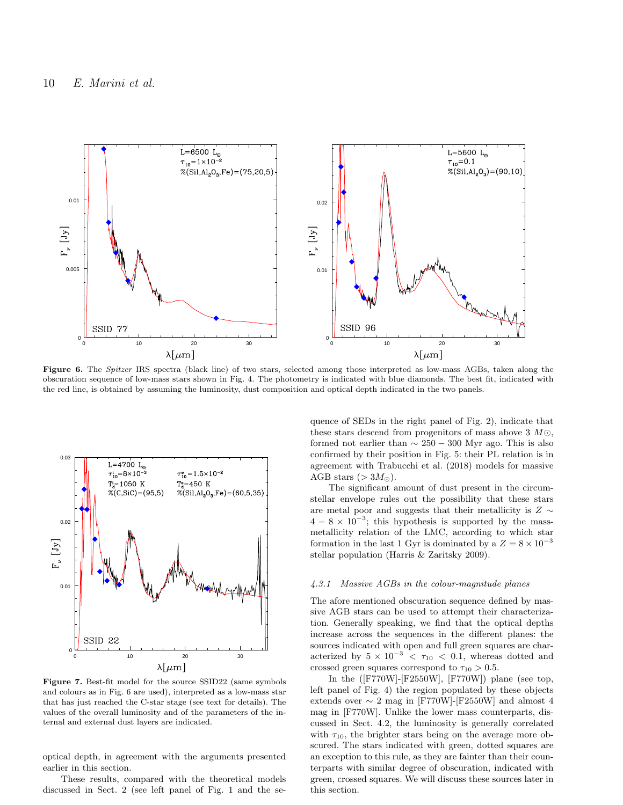

Figure 6. The Spitzer IRS spectra (black line) of two stars, selected among those interpreted as low-mass AGBs, taken along the obscuration sequence of low-mass stars shown in Fig. 4. The photometry is indicated with blue diamonds. The best fit, indicated with the red line, is obtained by assuming the luminosity, dust composition and optical depth indicated in the two panels.



Figure 7. Best-fit model for the source SSID22 (same symbols and colours as in Fig. 6 are used), interpreted as a low-mass star that has just reached the C-star stage (see text for details). The values of the overall luminosity and of the parameters of the internal and external dust layers are indicated.

optical depth, in agreement with the arguments presented earlier in this section.

These results, compared with the theoretical models discussed in Sect. 2 (see left panel of Fig. 1 and the sequence of SEDs in the right panel of Fig. 2), indicate that these stars descend from progenitors of mass above 3  $M\odot$ , formed not earlier than  $\sim 250 - 300$  Myr ago. This is also confirmed by their position in Fig. 5: their PL relation is in agreement with Trabucchi et al. (2018) models for massive AGB stars  $(>3M_{\odot})$ .

The significant amount of dust present in the circumstellar envelope rules out the possibility that these stars are metal poor and suggests that their metallicity is  $Z \sim$  $4 - 8 \times 10^{-3}$ ; this hypothesis is supported by the massmetallicity relation of the LMC, according to which star formation in the last 1 Gyr is dominated by a  $Z = 8 \times 10^{-3}$ stellar population (Harris & Zaritsky 2009).

#### 4.3.1 Massive AGBs in the colour-magnitude planes

The afore mentioned obscuration sequence defined by massive AGB stars can be used to attempt their characterization. Generally speaking, we find that the optical depths increase across the sequences in the different planes: the sources indicated with open and full green squares are characterized by  $5 \times 10^{-3} < \tau_{10} < 0.1$ , whereas dotted and crossed green squares correspond to  $\tau_{10} > 0.5$ .

In the  $($ [F770W]-[F2550W], [F770W]) plane (see top, left panel of Fig. 4) the region populated by these objects extends over  $\sim 2$  mag in [F770W]-[F2550W] and almost 4 mag in [F770W]. Unlike the lower mass counterparts, discussed in Sect. 4.2, the luminosity is generally correlated with  $\tau_{10}$ , the brighter stars being on the average more obscured. The stars indicated with green, dotted squares are an exception to this rule, as they are fainter than their counterparts with similar degree of obscuration, indicated with green, crossed squares. We will discuss these sources later in this section.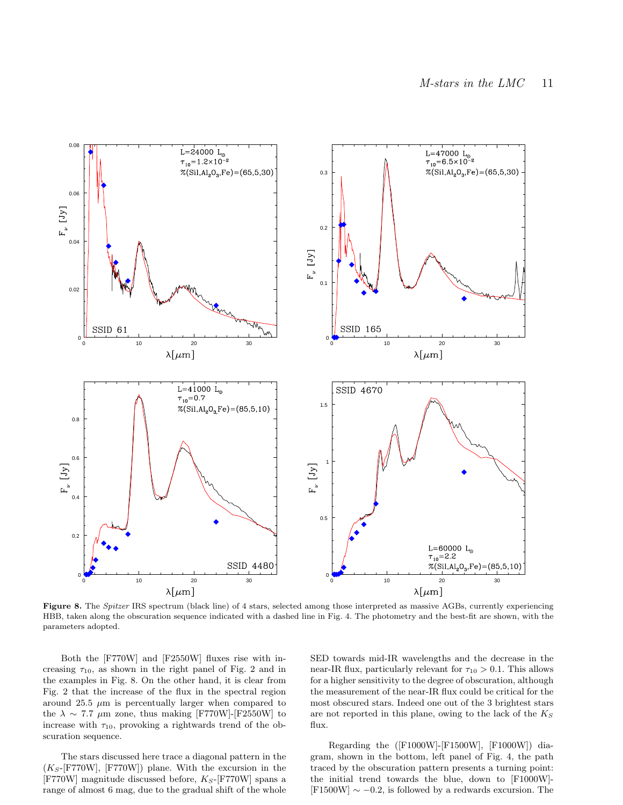

Figure 8. The Spitzer IRS spectrum (black line) of 4 stars, selected among those interpreted as massive AGBs, currently experiencing HBB, taken along the obscuration sequence indicated with a dashed line in Fig. 4. The photometry and the best-fit are shown, with the parameters adopted.

Both the [F770W] and [F2550W] fluxes rise with increasing  $\tau_{10}$ , as shown in the right panel of Fig. 2 and in the examples in Fig. 8. On the other hand, it is clear from Fig. 2 that the increase of the flux in the spectral region around 25.5  $\mu$ m is percentually larger when compared to the  $\lambda \sim 7.7$  µm zone, thus making [F770W]-[F2550W] to increase with  $\tau_{10}$ , provoking a rightwards trend of the obscuration sequence.

The stars discussed here trace a diagonal pattern in the  $(K_S\text{-}[{\texttt{F770W}}], [{\texttt{F770W}}])$  plane. With the excursion in the [F770W] magnitude discussed before,  $K_S$ -[F770W] spans a range of almost 6 mag, due to the gradual shift of the whole SED towards mid-IR wavelengths and the decrease in the near-IR flux, particularly relevant for  $\tau_{10} > 0.1$ . This allows for a higher sensitivity to the degree of obscuration, although the measurement of the near-IR flux could be critical for the most obscured stars. Indeed one out of the 3 brightest stars are not reported in this plane, owing to the lack of the  $K_S$ flux.

Regarding the ([F1000W]-[F1500W], [F1000W]) diagram, shown in the bottom, left panel of Fig. 4, the path traced by the obscuration pattern presents a turning point: the initial trend towards the blue, down to [F1000W]-  $[F1500W] \sim -0.2$ , is followed by a redwards excursion. The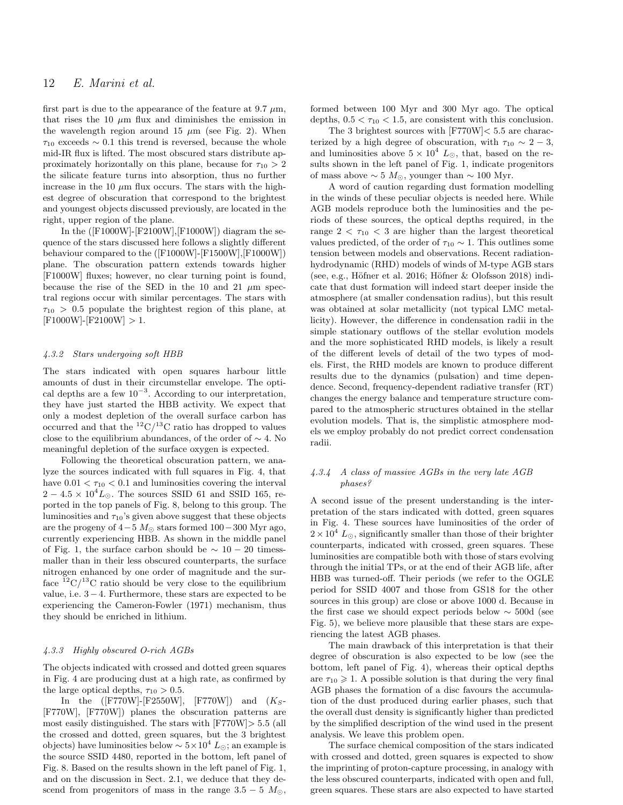## 12 E. Marini et al.

first part is due to the appearance of the feature at 9.7  $\mu$ m, that rises the 10  $\mu$ m flux and diminishes the emission in the wavelength region around 15  $\mu$ m (see Fig. 2). When  $\tau_{10}$  exceeds ~ 0.1 this trend is reversed, because the whole mid-IR flux is lifted. The most obscured stars distribute approximately horizontally on this plane, because for  $\tau_{10} > 2$ the silicate feature turns into absorption, thus no further increase in the 10  $\mu$ m flux occurs. The stars with the highest degree of obscuration that correspond to the brightest and youngest objects discussed previously, are located in the right, upper region of the plane.

In the ([F1000W]-[F2100W],[F1000W]) diagram the sequence of the stars discussed here follows a slightly different behaviour compared to the ([F1000W]-[F1500W],[F1000W]) plane. The obscuration pattern extends towards higher [F1000W] fluxes; however, no clear turning point is found, because the rise of the SED in the 10 and 21  $\mu$ m spectral regions occur with similar percentages. The stars with  $\tau_{10} > 0.5$  populate the brightest region of this plane, at  $[{\rm F1000W}]-[{\rm F2100W}] > 1.$ 

#### 4.3.2 Stars undergoing soft HBB

The stars indicated with open squares harbour little amounts of dust in their circumstellar envelope. The optical depths are a few  $10^{-3}$ . According to our interpretation, they have just started the HBB activity. We expect that only a modest depletion of the overall surface carbon has occurred and that the  ${}^{12}C/{}^{13}C$  ratio has dropped to values close to the equilibrium abundances, of the order of  $\sim$  4. No meaningful depletion of the surface oxygen is expected.

Following the theoretical obscuration pattern, we analyze the sources indicated with full squares in Fig. 4, that have  $0.01 < \tau_{10} < 0.1$  and luminosities covering the interval  $2 - 4.5 \times 10^4 L_{\odot}$ . The sources SSID 61 and SSID 165, reported in the top panels of Fig. 8, belong to this group. The luminosities and  $\tau_{10}$ 's given above suggest that these objects are the progeny of  $4-5$  M<sub>☉</sub> stars formed  $100-300$  Myr ago, currently experiencing HBB. As shown in the middle panel of Fig. 1, the surface carbon should be  $\sim 10 - 20$  timessmaller than in their less obscured counterparts, the surface nitrogen enhanced by one order of magnitude and the surface  ${}^{12}C/{}^{13}C$  ratio should be very close to the equilibrium value, i.e. 3−4. Furthermore, these stars are expected to be experiencing the Cameron-Fowler (1971) mechanism, thus they should be enriched in lithium.

#### 4.3.3 Highly obscured O-rich AGBs

The objects indicated with crossed and dotted green squares in Fig. 4 are producing dust at a high rate, as confirmed by the large optical depths,  $\tau_{10} > 0.5$ .

In the  $([F770W] - [F2550W], [F770W])$  and  $(K_S-$ [F770W], [F770W]) planes the obscuration patterns are most easily distinguished. The stars with [F770W]> 5.5 (all the crossed and dotted, green squares, but the 3 brightest objects) have luminosities below  $\sim 5 \times 10^4 L_{\odot}$ ; an example is the source SSID 4480, reported in the bottom, left panel of Fig. 8. Based on the results shown in the left panel of Fig. 1, and on the discussion in Sect. 2.1, we deduce that they descend from progenitors of mass in the range  $3.5 - 5$   $M_{\odot}$ ,

formed between 100 Myr and 300 Myr ago. The optical depths,  $0.5 < \tau_{10} < 1.5$ , are consistent with this conclusion.

The 3 brightest sources with  $[FT70W] < 5.5$  are characterized by a high degree of obscuration, with  $\tau_{10} \sim 2 - 3$ , and luminosities above  $5 \times 10^4$   $L_{\odot}$ , that, based on the results shown in the left panel of Fig. 1, indicate progenitors of mass above  $\sim 5 M_{\odot}$ , younger than  $\sim 100$  Myr.

A word of caution regarding dust formation modelling in the winds of these peculiar objects is needed here. While AGB models reproduce both the luminosities and the periods of these sources, the optical depths required, in the range  $2 < \tau_{10} < 3$  are higher than the largest theoretical values predicted, of the order of  $\tau_{10} \sim 1$ . This outlines some tension between models and observations. Recent radiationhydrodynamic (RHD) models of winds of M-type AGB stars (see, e.g., Höfner et al. 2016; Höfner  $\&$  Olofsson 2018) indicate that dust formation will indeed start deeper inside the atmosphere (at smaller condensation radius), but this result was obtained at solar metallicity (not typical LMC metallicity). However, the difference in condensation radii in the simple stationary outflows of the stellar evolution models and the more sophisticated RHD models, is likely a result of the different levels of detail of the two types of models. First, the RHD models are known to produce different results due to the dynamics (pulsation) and time dependence. Second, frequency-dependent radiative transfer (RT) changes the energy balance and temperature structure compared to the atmospheric structures obtained in the stellar evolution models. That is, the simplistic atmosphere models we employ probably do not predict correct condensation radii.

## 4.3.4 A class of massive AGBs in the very late AGB phases?

A second issue of the present understanding is the interpretation of the stars indicated with dotted, green squares in Fig. 4. These sources have luminosities of the order of  $2 \times 10^4$  L<sub>O</sub>, significantly smaller than those of their brighter counterparts, indicated with crossed, green squares. These luminosities are compatible both with those of stars evolving through the initial TPs, or at the end of their AGB life, after HBB was turned-off. Their periods (we refer to the OGLE period for SSID 4007 and those from GS18 for the other sources in this group) are close or above 1000 d. Because in the first case we should expect periods below ∼ 500d (see Fig. 5), we believe more plausible that these stars are experiencing the latest AGB phases.

The main drawback of this interpretation is that their degree of obscuration is also expected to be low (see the bottom, left panel of Fig. 4), whereas their optical depths are  $\tau_{10} \geq 1$ . A possible solution is that during the very final AGB phases the formation of a disc favours the accumulation of the dust produced during earlier phases, such that the overall dust density is significantly higher than predicted by the simplified description of the wind used in the present analysis. We leave this problem open.

The surface chemical composition of the stars indicated with crossed and dotted, green squares is expected to show the imprinting of proton-capture processing, in analogy with the less obscured counterparts, indicated with open and full, green squares. These stars are also expected to have started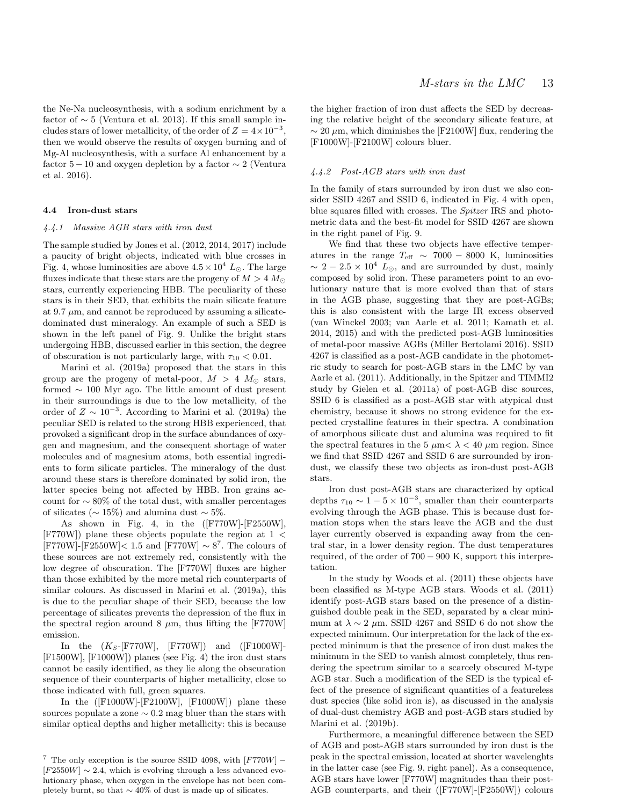the Ne-Na nucleosynthesis, with a sodium enrichment by a factor of  $\sim 5$  (Ventura et al. 2013). If this small sample includes stars of lower metallicity, of the order of  $Z = 4 \times 10^{-3}$ , then we would observe the results of oxygen burning and of Mg-Al nucleosynthesis, with a surface Al enhancement by a factor  $5-10$  and oxygen depletion by a factor  $\sim 2$  (Ventura et al. 2016).

#### 4.4 Iron-dust stars

## 4.4.1 Massive AGB stars with iron dust

The sample studied by Jones et al. (2012, 2014, 2017) include a paucity of bright objects, indicated with blue crosses in Fig. 4, whose luminosities are above  $4.5 \times 10^4$  L<sub>O</sub>. The large fluxes indicate that these stars are the progeny of  $M > 4 M_{\odot}$ stars, currently experiencing HBB. The peculiarity of these stars is in their SED, that exhibits the main silicate feature at 9.7  $\mu$ m, and cannot be reproduced by assuming a silicatedominated dust mineralogy. An example of such a SED is shown in the left panel of Fig. 9. Unlike the bright stars undergoing HBB, discussed earlier in this section, the degree of obscuration is not particularly large, with  $\tau_{10} < 0.01$ .

Marini et al. (2019a) proposed that the stars in this group are the progeny of metal-poor,  $M > 4$   $M_{\odot}$  stars, formed ∼ 100 Myr ago. The little amount of dust present in their surroundings is due to the low metallicity, of the order of  $Z \sim 10^{-3}$ . According to Marini et al. (2019a) the peculiar SED is related to the strong HBB experienced, that provoked a significant drop in the surface abundances of oxygen and magnesium, and the consequent shortage of water molecules and of magnesium atoms, both essential ingredients to form silicate particles. The mineralogy of the dust around these stars is therefore dominated by solid iron, the latter species being not affected by HBB. Iron grains account for  $\sim 80\%$  of the total dust, with smaller percentages of silicates ( $\sim 15\%$ ) and alumina dust  $\sim 5\%$ .

As shown in Fig. 4, in the ([F770W]-[F2550W],  $[$ F770W]) plane these objects populate the region at 1  $\lt$  $[$ F770W]- $[$ F2550W]< 1.5 and  $[$ F770W]  $\sim 8^7$ . The colours of these sources are not extremely red, consistently with the low degree of obscuration. The [F770W] fluxes are higher than those exhibited by the more metal rich counterparts of similar colours. As discussed in Marini et al. (2019a), this is due to the peculiar shape of their SED, because the low percentage of silicates prevents the depression of the flux in the spectral region around 8  $\mu$ m, thus lifting the [F770W] emission.

In the  $(K_S-[F770W], [F770W])$  and  $([F1000W]-$ [F1500W], [F1000W]) planes (see Fig. 4) the iron dust stars cannot be easily identified, as they lie along the obscuration sequence of their counterparts of higher metallicity, close to those indicated with full, green squares.

In the  $($ [F1000W]-[F2100W], [F1000W]) plane these sources populate a zone  $\sim 0.2$  mag bluer than the stars with similar optical depths and higher metallicity: this is because

the higher fraction of iron dust affects the SED by decreasing the relative height of the secondary silicate feature, at  $\sim$  20  $\mu$ m, which diminishes the [F2100W] flux, rendering the [F1000W]-[F2100W] colours bluer.

## 4.4.2 Post-AGB stars with iron dust

In the family of stars surrounded by iron dust we also consider SSID 4267 and SSID 6, indicated in Fig. 4 with open, blue squares filled with crosses. The Spitzer IRS and photometric data and the best-fit model for SSID 4267 are shown in the right panel of Fig. 9.

We find that these two objects have effective temperatures in the range  $T_{\text{eff}} \sim 7000 - 8000$  K, luminosities  $\sim 2-2.5 \times 10^4$  L<sub>☉</sub>, and are surrounded by dust, mainly composed by solid iron. These parameters point to an evolutionary nature that is more evolved than that of stars in the AGB phase, suggesting that they are post-AGBs; this is also consistent with the large IR excess observed (van Winckel 2003; van Aarle et al. 2011; Kamath et al. 2014, 2015) and with the predicted post-AGB luminosities of metal-poor massive AGBs (Miller Bertolami 2016). SSID 4267 is classified as a post-AGB candidate in the photometric study to search for post-AGB stars in the LMC by van Aarle et al. (2011). Additionally, in the Spitzer and TIMMI2 study by Gielen et al. (2011a) of post-AGB disc sources, SSID 6 is classified as a post-AGB star with atypical dust chemistry, because it shows no strong evidence for the expected crystalline features in their spectra. A combination of amorphous silicate dust and alumina was required to fit the spectral features in the 5  $\mu$ m $< \lambda < 40 \mu$ m region. Since we find that SSID 4267 and SSID 6 are surrounded by irondust, we classify these two objects as iron-dust post-AGB stars.

Iron dust post-AGB stars are characterized by optical depths  $\tau_{10} \sim 1 - 5 \times 10^{-3}$ , smaller than their counterparts evolving through the AGB phase. This is because dust formation stops when the stars leave the AGB and the dust layer currently observed is expanding away from the central star, in a lower density region. The dust temperatures required, of the order of  $700 - 900$  K, support this interpretation.

In the study by Woods et al. (2011) these objects have been classified as M-type AGB stars. Woods et al. (2011) identify post-AGB stars based on the presence of a distinguished double peak in the SED, separated by a clear minimum at  $\lambda \sim 2 \mu$ m. SSID 4267 and SSID 6 do not show the expected minimum. Our interpretation for the lack of the expected minimum is that the presence of iron dust makes the minimum in the SED to vanish almost completely, thus rendering the spectrum similar to a scarcely obscured M-type AGB star. Such a modification of the SED is the typical effect of the presence of significant quantities of a featureless dust species (like solid iron is), as discussed in the analysis of dual-dust chemistry AGB and post-AGB stars studied by Marini et al. (2019b).

Furthermore, a meaningful difference between the SED of AGB and post-AGB stars surrounded by iron dust is the peak in the spectral emission, located at shorter wavelenghts in the latter case (see Fig. 9, right panel). As a consequence, AGB stars have lower [F770W] magnitudes than their post-AGB counterparts, and their ([F770W]-[F2550W]) colours

<sup>&</sup>lt;sup>7</sup> The only exception is the source SSID 4098, with  $[$ F770W]  $[F2550W] \sim 2.4$ , which is evolving through a less advanced evolutionary phase, when oxygen in the envelope has not been completely burnt, so that  $\sim$  40% of dust is made up of silicates.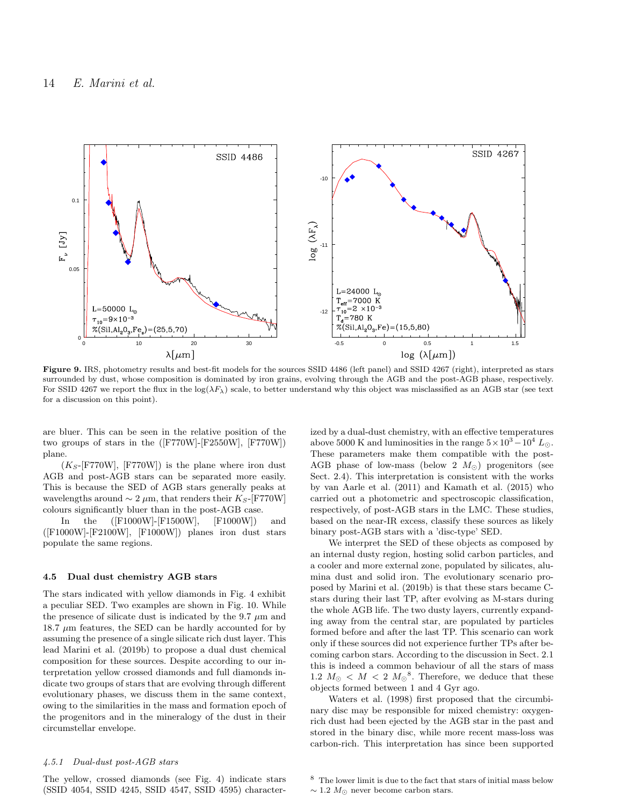

Figure 9. IRS, photometry results and best-fit models for the sources SSID 4486 (left panel) and SSID 4267 (right), interpreted as stars surrounded by dust, whose composition is dominated by iron grains, evolving through the AGB and the post-AGB phase, respectively. For SSID 4267 we report the flux in the  $log(\lambda F_{\lambda})$  scale, to better understand why this object was misclassified as an AGB star (see text) for a discussion on this point).

are bluer. This can be seen in the relative position of the two groups of stars in the ([F770W]-[F2550W], [F770W]) plane.

 $(K_S-[F770W], [F770W])$  is the plane where iron dust AGB and post-AGB stars can be separated more easily. This is because the SED of AGB stars generally peaks at wavelengths around  $\sim 2 \mu m$ , that renders their K<sub>S</sub>-[F770W] colours significantly bluer than in the post-AGB case.

In the ([F1000W]-[F1500W], [F1000W]) and ([F1000W]-[F2100W], [F1000W]) planes iron dust stars populate the same regions.

## 4.5 Dual dust chemistry AGB stars

The stars indicated with yellow diamonds in Fig. 4 exhibit a peculiar SED. Two examples are shown in Fig. 10. While the presence of silicate dust is indicated by the 9.7  $\mu$ m and  $18.7 \mu m$  features, the SED can be hardly accounted for by assuming the presence of a single silicate rich dust layer. This lead Marini et al. (2019b) to propose a dual dust chemical composition for these sources. Despite according to our interpretation yellow crossed diamonds and full diamonds indicate two groups of stars that are evolving through different evolutionary phases, we discuss them in the same context, owing to the similarities in the mass and formation epoch of the progenitors and in the mineralogy of the dust in their circumstellar envelope.

#### 4.5.1 Dual-dust post-AGB stars

The yellow, crossed diamonds (see Fig. 4) indicate stars (SSID 4054, SSID 4245, SSID 4547, SSID 4595) characterized by a dual-dust chemistry, with an effective temperatures above 5000 K and luminosities in the range  $5 \times 10^3 - 10^4$  L<sub>o</sub>. These parameters make them compatible with the post-AGB phase of low-mass (below 2  $M_{\odot}$ ) progenitors (see Sect. 2.4). This interpretation is consistent with the works by van Aarle et al. (2011) and Kamath et al. (2015) who carried out a photometric and spectroscopic classification, respectively, of post-AGB stars in the LMC. These studies, based on the near-IR excess, classify these sources as likely binary post-AGB stars with a 'disc-type' SED.

We interpret the SED of these objects as composed by an internal dusty region, hosting solid carbon particles, and a cooler and more external zone, populated by silicates, alumina dust and solid iron. The evolutionary scenario proposed by Marini et al. (2019b) is that these stars became Cstars during their last TP, after evolving as M-stars during the whole AGB life. The two dusty layers, currently expanding away from the central star, are populated by particles formed before and after the last TP. This scenario can work only if these sources did not experience further TPs after becoming carbon stars. According to the discussion in Sect. 2.1 this is indeed a common behaviour of all the stars of mass 1.2  $M_{\odot}$  <  $M$  < 2  $M_{\odot}$ <sup>8</sup>. Therefore, we deduce that these objects formed between 1 and 4 Gyr ago.

Waters et al. (1998) first proposed that the circumbinary disc may be responsible for mixed chemistry: oxygenrich dust had been ejected by the AGB star in the past and stored in the binary disc, while more recent mass-loss was carbon-rich. This interpretation has since been supported

<sup>8</sup> The lower limit is due to the fact that stars of initial mass below

 $\sim$  1.2  $M_{\odot}$  never become carbon stars.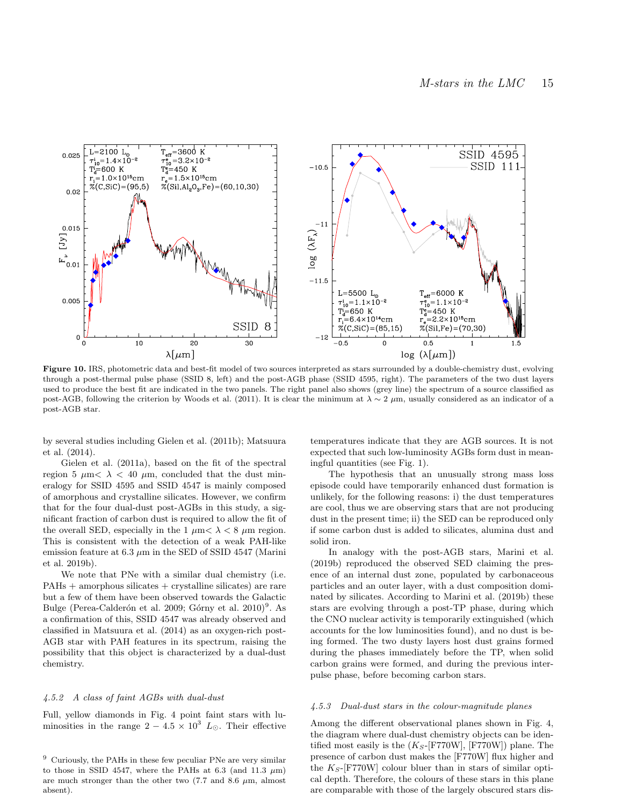

Figure 10. IRS, photometric data and best-fit model of two sources interpreted as stars surrounded by a double-chemistry dust, evolving through a post-thermal pulse phase (SSID 8, left) and the post-AGB phase (SSID 4595, right). The parameters of the two dust layers used to produce the best fit are indicated in the two panels. The right panel also shows (grey line) the spectrum of a source classified as post-AGB, following the criterion by Woods et al. (2011). It is clear the minimum at  $\lambda \sim 2 \mu$ m, usually considered as an indicator of a post-AGB star.

by several studies including Gielen et al. (2011b); Matsuura et al. (2014).

Gielen et al. (2011a), based on the fit of the spectral region 5  $\mu$ m $< \lambda$  < 40  $\mu$ m, concluded that the dust mineralogy for SSID 4595 and SSID 4547 is mainly composed of amorphous and crystalline silicates. However, we confirm that for the four dual-dust post-AGBs in this study, a significant fraction of carbon dust is required to allow the fit of the overall SED, especially in the 1  $\mu$ m $< \lambda < 8$   $\mu$ m region. This is consistent with the detection of a weak PAH-like emission feature at  $6.3 \mu m$  in the SED of SSID 4547 (Marini et al. 2019b).

We note that PNe with a similar dual chemistry (i.e.  $PAHs + amorphous silicates + crystalline silicates)$  are rare but a few of them have been observed towards the Galactic Bulge (Perea-Calderón et al. 2009; Górny et al. 2010)<sup>9</sup>. As a confirmation of this, SSID 4547 was already observed and classified in Matsuura et al. (2014) as an oxygen-rich post-AGB star with PAH features in its spectrum, raising the possibility that this object is characterized by a dual-dust chemistry.

#### 4.5.2 A class of faint AGBs with dual-dust

Full, yellow diamonds in Fig. 4 point faint stars with luminosities in the range  $2 - 4.5 \times 10^3$  L<sub>O</sub>. Their effective temperatures indicate that they are AGB sources. It is not expected that such low-luminosity AGBs form dust in meaningful quantities (see Fig. 1).

The hypothesis that an unusually strong mass loss episode could have temporarily enhanced dust formation is unlikely, for the following reasons: i) the dust temperatures are cool, thus we are observing stars that are not producing dust in the present time; ii) the SED can be reproduced only if some carbon dust is added to silicates, alumina dust and solid iron.

In analogy with the post-AGB stars, Marini et al. (2019b) reproduced the observed SED claiming the presence of an internal dust zone, populated by carbonaceous particles and an outer layer, with a dust composition dominated by silicates. According to Marini et al. (2019b) these stars are evolving through a post-TP phase, during which the CNO nuclear activity is temporarily extinguished (which accounts for the low luminosities found), and no dust is being formed. The two dusty layers host dust grains formed during the phases immediately before the TP, when solid carbon grains were formed, and during the previous interpulse phase, before becoming carbon stars.

#### 4.5.3 Dual-dust stars in the colour-magnitude planes

Among the different observational planes shown in Fig. 4, the diagram where dual-dust chemistry objects can be identified most easily is the  $(K_S-$ [F770W], [F770W]) plane. The presence of carbon dust makes the [F770W] flux higher and the  $K_S$ -[F770W] colour bluer than in stars of similar optical depth. Therefore, the colours of these stars in this plane are comparable with those of the largely obscured stars dis-

<sup>9</sup> Curiously, the PAHs in these few peculiar PNe are very similar to those in SSID 4547, where the PAHs at 6.3 (and 11.3  $\mu$ m) are much stronger than the other two  $(7.7 \text{ and } 8.6 \mu \text{m})$ , almost absent).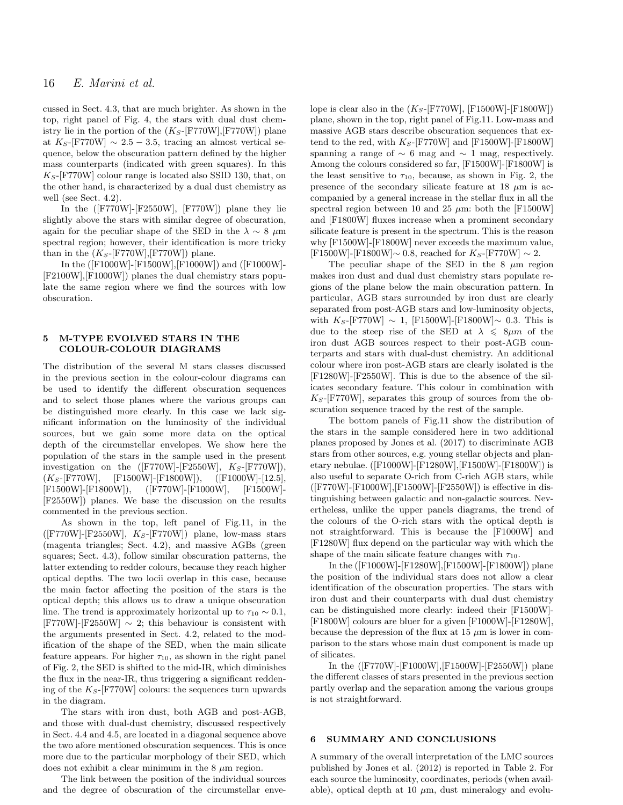cussed in Sect. 4.3, that are much brighter. As shown in the top, right panel of Fig. 4, the stars with dual dust chemistry lie in the portion of the  $(K_S-[F770W],[F770W])$  plane at K<sub>S</sub>-[F770W]  $\sim 2.5 - 3.5$ , tracing an almost vertical sequence, below the obscuration pattern defined by the higher mass counterparts (indicated with green squares). In this  $K_S$ -[F770W] colour range is located also SSID 130, that, on the other hand, is characterized by a dual dust chemistry as well (see Sect. 4.2).

In the  $($ [F770W]-[F2550W], [F770W]) plane they lie slightly above the stars with similar degree of obscuration, again for the peculiar shape of the SED in the  $\lambda \sim 8 \mu m$ spectral region; however, their identification is more tricky than in the  $(K_S$ -[F770W],[F770W]) plane.

In the ([F1000W]-[F1500W],[F1000W]) and ([F1000W]- [F2100W],[F1000W]) planes the dual chemistry stars populate the same region where we find the sources with low obscuration.

## 5 M-TYPE EVOLVED STARS IN THE COLOUR-COLOUR DIAGRAMS

The distribution of the several M stars classes discussed in the previous section in the colour-colour diagrams can be used to identify the different obscuration sequences and to select those planes where the various groups can be distinguished more clearly. In this case we lack significant information on the luminosity of the individual sources, but we gain some more data on the optical depth of the circumstellar envelopes. We show here the population of the stars in the sample used in the present investigation on the  $( [F770W] - [F2550W], K_S - [F770W]),$  $(K_S-[F770W], \quad [F1500W]-[F1800W]), \quad ([F1000W]-[12.5],$ [F1500W]-[F1800W]), ([F770W]-[F1000W], [F1500W]- [F2550W]) planes. We base the discussion on the results commented in the previous section.

As shown in the top, left panel of Fig.11, in the  $([F770W] - [F2550W], K<sub>S</sub> - [F770W])$  plane, low-mass stars (magenta triangles; Sect. 4.2), and massive AGBs (green squares; Sect. 4.3), follow similar obscuration patterns, the latter extending to redder colours, because they reach higher optical depths. The two locii overlap in this case, because the main factor affecting the position of the stars is the optical depth; this allows us to draw a unique obscuration line. The trend is approximately horizontal up to  $\tau_{10} \sim 0.1$ ,  $[$ F770W]- $[$ F2550W]  $\sim$  2; this behaviour is consistent with the arguments presented in Sect. 4.2, related to the modification of the shape of the SED, when the main silicate feature appears. For higher  $\tau_{10}$ , as shown in the right panel of Fig. 2, the SED is shifted to the mid-IR, which diminishes the flux in the near-IR, thus triggering a significant reddening of the  $K_S$ -[F770W] colours: the sequences turn upwards in the diagram.

The stars with iron dust, both AGB and post-AGB, and those with dual-dust chemistry, discussed respectively in Sect. 4.4 and 4.5, are located in a diagonal sequence above the two afore mentioned obscuration sequences. This is once more due to the particular morphology of their SED, which does not exhibit a clear minimum in the  $8 \mu m$  region.

The link between the position of the individual sources and the degree of obscuration of the circumstellar envelope is clear also in the  $(K_S$ -[F770W], [F1500W]-[F1800W]) plane, shown in the top, right panel of Fig.11. Low-mass and massive AGB stars describe obscuration sequences that extend to the red, with  $K_S$ -[F770W] and [F1500W]-[F1800W] spanning a range of  $\sim 6$  mag and  $\sim 1$  mag, respectively. Among the colours considered so far, [F1500W]-[F1800W] is the least sensitive to  $\tau_{10}$ , because, as shown in Fig. 2, the presence of the secondary silicate feature at 18  $\mu$ m is accompanied by a general increase in the stellar flux in all the spectral region between 10 and 25  $\mu$ m: both the [F1500W] and [F1800W] fluxes increase when a prominent secondary silicate feature is present in the spectrum. This is the reason why [F1500W]-[F1800W] never exceeds the maximum value,  $[F1500W]$ - $[F1800W]$ ∼ 0.8, reached for  $K_S$ - $[F770W] \sim 2$ .

The peculiar shape of the SED in the  $8 \mu m$  region makes iron dust and dual dust chemistry stars populate regions of the plane below the main obscuration pattern. In particular, AGB stars surrounded by iron dust are clearly separated from post-AGB stars and low-luminosity objects, with  $K_S$ -[F770W] ∼ 1, [F1500W]-[F1800W]~ 0.3. This is due to the steep rise of the SED at  $\lambda \leq 8 \mu m$  of the iron dust AGB sources respect to their post-AGB counterparts and stars with dual-dust chemistry. An additional colour where iron post-AGB stars are clearly isolated is the [F1280W]-[F2550W]. This is due to the absence of the silicates secondary feature. This colour in combination with  $K_S$ -[F770W], separates this group of sources from the obscuration sequence traced by the rest of the sample.

The bottom panels of Fig.11 show the distribution of the stars in the sample considered here in two additional planes proposed by Jones et al. (2017) to discriminate AGB stars from other sources, e.g. young stellar objects and planetary nebulae. ([F1000W]-[F1280W],[F1500W]-[F1800W]) is also useful to separate O-rich from C-rich AGB stars, while  $([F770W] - [F1000W], [F1500W] - [F2550W])$  is effective in distinguishing between galactic and non-galactic sources. Nevertheless, unlike the upper panels diagrams, the trend of the colours of the O-rich stars with the optical depth is not straightforward. This is because the [F1000W] and [F1280W] flux depend on the particular way with which the shape of the main silicate feature changes with  $\tau_{10}$ .

In the ([F1000W]-[F1280W],[F1500W]-[F1800W]) plane the position of the individual stars does not allow a clear identification of the obscuration properties. The stars with iron dust and their counterparts with dual dust chemistry can be distinguished more clearly: indeed their [F1500W]- [F1800W] colours are bluer for a given [F1000W]-[F1280W], because the depression of the flux at  $15 \mu m$  is lower in comparison to the stars whose main dust component is made up of silicates.

In the ([F770W]-[F1000W],[F1500W]-[F2550W]) plane the different classes of stars presented in the previous section partly overlap and the separation among the various groups is not straightforward.

#### 6 SUMMARY AND CONCLUSIONS

A summary of the overall interpretation of the LMC sources published by Jones et al. (2012) is reported in Table 2. For each source the luminosity, coordinates, periods (when available), optical depth at 10  $\mu$ m, dust mineralogy and evolu-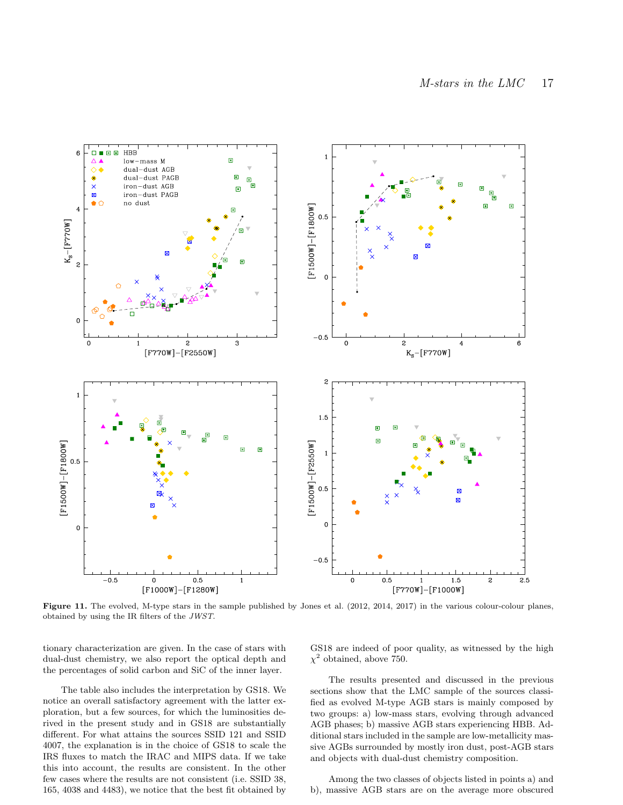

Figure 11. The evolved, M-type stars in the sample published by Jones et al. (2012, 2014, 2017) in the various colour-colour planes, obtained by using the IR filters of the JWST.

tionary characterization are given. In the case of stars with dual-dust chemistry, we also report the optical depth and the percentages of solid carbon and SiC of the inner layer.

The table also includes the interpretation by GS18. We notice an overall satisfactory agreement with the latter exploration, but a few sources, for which the luminosities derived in the present study and in GS18 are substantially different. For what attains the sources SSID 121 and SSID 4007, the explanation is in the choice of GS18 to scale the IRS fluxes to match the IRAC and MIPS data. If we take this into account, the results are consistent. In the other few cases where the results are not consistent (i.e. SSID 38, 165, 4038 and 4483), we notice that the best fit obtained by

GS18 are indeed of poor quality, as witnessed by the high  $\chi^2$  obtained, above 750.

The results presented and discussed in the previous sections show that the LMC sample of the sources classified as evolved M-type AGB stars is mainly composed by two groups: a) low-mass stars, evolving through advanced AGB phases; b) massive AGB stars experiencing HBB. Additional stars included in the sample are low-metallicity massive AGBs surrounded by mostly iron dust, post-AGB stars and objects with dual-dust chemistry composition.

Among the two classes of objects listed in points a) and b), massive AGB stars are on the average more obscured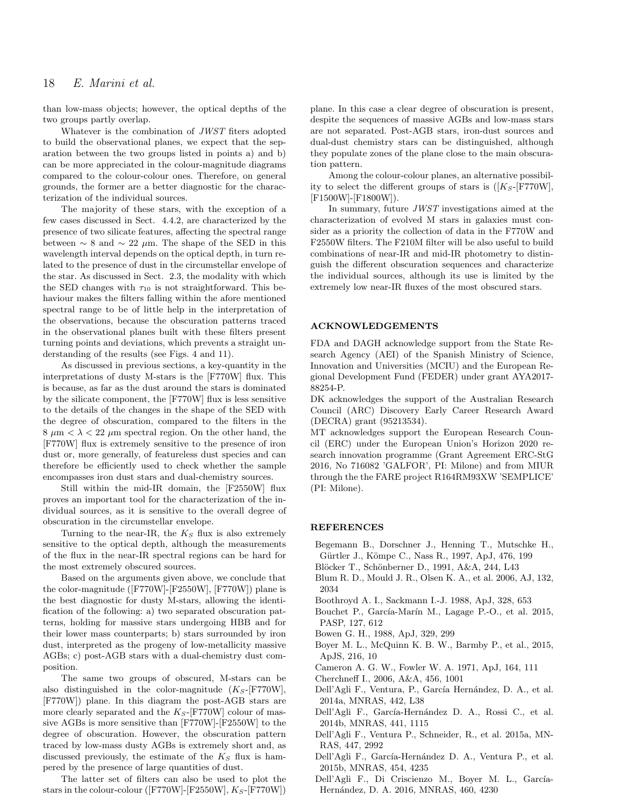than low-mass objects; however, the optical depths of the two groups partly overlap.

Whatever is the combination of JWST fiters adopted to build the observational planes, we expect that the separation between the two groups listed in points a) and b) can be more appreciated in the colour-magnitude diagrams compared to the colour-colour ones. Therefore, on general grounds, the former are a better diagnostic for the characterization of the individual sources.

The majority of these stars, with the exception of a few cases discussed in Sect. 4.4.2, are characterized by the presence of two silicate features, affecting the spectral range between  $\sim 8$  and  $\sim 22 \mu$ m. The shape of the SED in this wavelength interval depends on the optical depth, in turn related to the presence of dust in the circumstellar envelope of the star. As discussed in Sect. 2.3, the modality with which the SED changes with  $\tau_{10}$  is not straightforward. This behaviour makes the filters falling within the afore mentioned spectral range to be of little help in the interpretation of the observations, because the obscuration patterns traced in the observational planes built with these filters present turning points and deviations, which prevents a straight understanding of the results (see Figs. 4 and 11).

As discussed in previous sections, a key-quantity in the interpretations of dusty M-stars is the [F770W] flux. This is because, as far as the dust around the stars is dominated by the silicate component, the [F770W] flux is less sensitive to the details of the changes in the shape of the SED with the degree of obscuration, compared to the filters in the  $8 \mu m < \lambda < 22 \mu m$  spectral region. On the other hand, the [F770W] flux is extremely sensitive to the presence of iron dust or, more generally, of featureless dust species and can therefore be efficiently used to check whether the sample encompasses iron dust stars and dual-chemistry sources.

Still within the mid-IR domain, the [F2550W] flux proves an important tool for the characterization of the individual sources, as it is sensitive to the overall degree of obscuration in the circumstellar envelope.

Turning to the near-IR, the  $K<sub>S</sub>$  flux is also extremely sensitive to the optical depth, although the measurements of the flux in the near-IR spectral regions can be hard for the most extremely obscured sources.

Based on the arguments given above, we conclude that the color-magnitude ([F770W]-[F2550W], [F770W]) plane is the best diagnostic for dusty M-stars, allowing the identification of the following: a) two separated obscuration patterns, holding for massive stars undergoing HBB and for their lower mass counterparts; b) stars surrounded by iron dust, interpreted as the progeny of low-metallicity massive AGBs; c) post-AGB stars with a dual-chemistry dust composition.

The same two groups of obscured, M-stars can be also distinguished in the color-magnitude  $(K_S-[F770W],$ [F770W]) plane. In this diagram the post-AGB stars are more clearly separated and the  $K_S$ -[F770W] colour of massive AGBs is more sensitive than [F770W]-[F2550W] to the degree of obscuration. However, the obscuration pattern traced by low-mass dusty AGBs is extremely short and, as discussed previously, the estimate of the  $K<sub>S</sub>$  flux is hampered by the presence of large quantities of dust.

The latter set of filters can also be used to plot the stars in the colour-colour ([F770W]-[F2550W],  $K_S$ -[F770W]) plane. In this case a clear degree of obscuration is present, despite the sequences of massive AGBs and low-mass stars are not separated. Post-AGB stars, iron-dust sources and dual-dust chemistry stars can be distinguished, although they populate zones of the plane close to the main obscuration pattern.

Among the colour-colour planes, an alternative possibility to select the different groups of stars is  $([K_S-FT70W],$ [F1500W]-[F1800W]).

In summary, future JWST investigations aimed at the characterization of evolved M stars in galaxies must consider as a priority the collection of data in the F770W and F2550W filters. The F210M filter will be also useful to build combinations of near-IR and mid-IR photometry to distinguish the different obscuration sequences and characterize the individual sources, although its use is limited by the extremely low near-IR fluxes of the most obscured stars.

#### ACKNOWLEDGEMENTS

FDA and DAGH acknowledge support from the State Research Agency (AEI) of the Spanish Ministry of Science, Innovation and Universities (MCIU) and the European Regional Development Fund (FEDER) under grant AYA2017- 88254-P.

DK acknowledges the support of the Australian Research Council (ARC) Discovery Early Career Research Award (DECRA) grant (95213534).

MT acknowledges support the European Research Council (ERC) under the European Union's Horizon 2020 research innovation programme (Grant Agreement ERC-StG 2016, No 716082 'GALFOR', PI: Milone) and from MIUR through the the FARE project R164RM93XW 'SEMPLICE' (PI: Milone).

#### REFERENCES

- Begemann B., Dorschner J., Henning T., Mutschke H., Gürtler J., Kömpe C., Nass R., 1997, ApJ, 476, 199
- Blöcker T., Schönberner D., 1991, A&A, 244, L43
- Blum R. D., Mould J. R., Olsen K. A., et al. 2006, AJ, 132, 2034
- Boothroyd A. I., Sackmann I.-J. 1988, ApJ, 328, 653
- Bouchet P., García-Marín M., Lagage P.-O., et al. 2015, PASP, 127, 612
- Bowen G. H., 1988, ApJ, 329, 299
- Boyer M. L., McQuinn K. B. W., Barmby P., et al., 2015, ApJS, 216, 10
- Cameron A. G. W., Fowler W. A. 1971, ApJ, 164, 111
- Cherchneff I., 2006, A&A, 456, 1001
- Dell'Agli F., Ventura, P., García Hernández, D. A., et al. 2014a, MNRAS, 442, L38
- Dell'Agli F., García-Hernández D. A., Rossi C., et al. 2014b, MNRAS, 441, 1115
- Dell'Agli F., Ventura P., Schneider, R., et al. 2015a, MN-RAS, 447, 2992
- Dell'Agli F., García-Hernández D. A., Ventura P., et al. 2015b, MNRAS, 454, 4235
- Dell'Agli F., Di Criscienzo M., Boyer M. L., García-Hernández, D. A. 2016, MNRAS, 460, 4230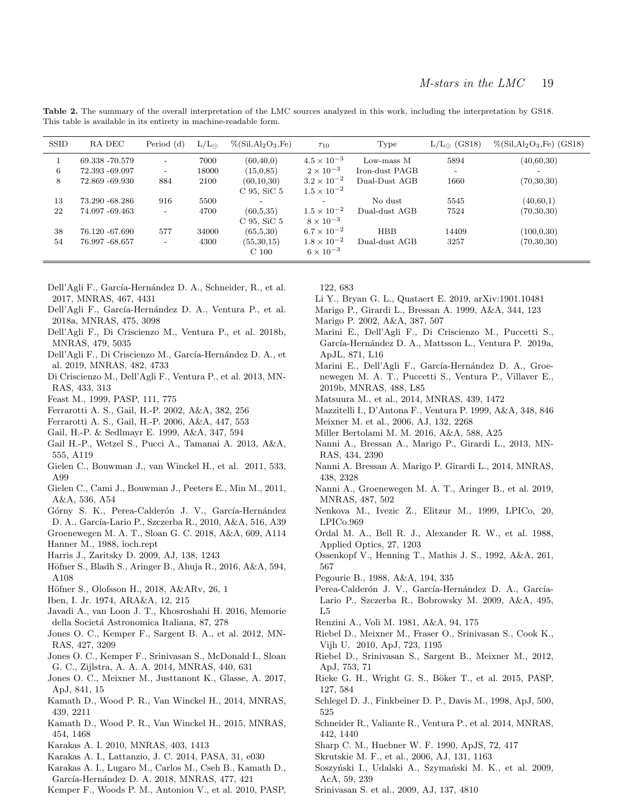| Table 2. The summary of the overall interpretation of the LMC sources analyzed in this work, including the interpretation by GS18. |  |  |  |  |  |
|------------------------------------------------------------------------------------------------------------------------------------|--|--|--|--|--|
| This table is available in its entirety in machine-readable form.                                                                  |  |  |  |  |  |

| <b>SSID</b> | RA DEC         | Period (d)               | $L/L_{\odot}$ | $\%$ (Sil, Al <sub>2</sub> O <sub>3</sub> , Fe) | $\tau_{10}$          | Type           | $L/L_{\odot}$ (GS18) | $\%$ (Sil,Al <sub>2</sub> O <sub>3</sub> ,Fe) (GS18) |
|-------------|----------------|--------------------------|---------------|-------------------------------------------------|----------------------|----------------|----------------------|------------------------------------------------------|
|             | 69.338 -70.579 | $\overline{\phantom{0}}$ | 7000          | (60, 40, 0)                                     | $4.5 \times 10^{-3}$ | Low-mass M     | 5894                 | (40,60,30)                                           |
| 6           | 72.393 -69.097 | $\overline{\phantom{0}}$ | 18000         | (15, 0, 85)                                     | $2 \times 10^{-3}$   | Iron-dust PAGB |                      | $\overline{\phantom{a}}$                             |
| 8           | 72.869 -69.930 | 884                      | 2100          | (60, 10, 30)                                    | $3.2 \times 10^{-2}$ | Dual-Dust AGB  | 1660                 | (70, 30, 30)                                         |
|             |                |                          |               | $C$ 95, SiC 5                                   | $1.5 \times 10^{-2}$ |                |                      |                                                      |
| 13          | 73.290 -68.286 | 916                      | 5500          | $\overline{\phantom{0}}$                        |                      | No dust        | 5545                 | (40,60,1)                                            |
| 22          | 74.097 -69.463 |                          | 4700          | (60,5,35)                                       | $1.5 \times 10^{-2}$ | Dual-dust AGB  | 7524                 | (70, 30, 30)                                         |
|             |                |                          |               | $C$ 95, SiC 5                                   | $8 \times 10^{-3}$   |                |                      |                                                      |
| 38          | 76.120 -67.690 | 577                      | 34000         | (65,5,30)                                       | $6.7 \times 10^{-2}$ | <b>HBB</b>     | 14409                | (100, 0, 30)                                         |
| 54          | 76.997 -68.657 | $\overline{\phantom{0}}$ | 4300          | (55, 30, 15)                                    | $1.8 \times 10^{-2}$ | Dual-dust AGB  | 3257                 | (70, 30, 30)                                         |
|             |                |                          |               | C <sub>100</sub>                                | $6 \times 10^{-3}$   |                |                      |                                                      |

- Dell'Agli F., García-Hernández D. A., Schneider, R., et al. 2017, MNRAS, 467, 4431
- Dell'Agli F., García-Hernández D. A., Ventura P., et al. 2018a, MNRAS, 475, 3098
- Dell'Agli F., Di Criscienzo M., Ventura P., et al. 2018b, MNRAS, 479, 5035
- Dell'Agli F., Di Criscienzo M., García-Hernández D. A., et al. 2019, MNRAS, 482, 4733
- Di Criscienzo M., Dell'Agli F., Ventura P., et al. 2013, MN-RAS, 433, 313
- Feast M., 1999, PASP, 111, 775
- Ferrarotti A. S., Gail, H.-P. 2002, A&A, 382, 256
- Ferrarotti A. S., Gail, H.-P. 2006, A&A, 447, 553
- Gail, H.-P. & Sedlmayr E. 1999, A&A, 347, 594
- Gail H.-P., Wetzel S., Pucci A., Tamanai A. 2013, A&A, 555, A119
- Gielen C., Bouwman J., van Winckel H., et al. 2011, 533, A99
- Gielen C., Cami J., Bouwman J., Peeters E., Min M., 2011, A&A, 536, A54
- Górny S. K., Perea-Calderón J. V., García-Hernández
- D. A., García-Lario P., Szczerba R., 2010, A&A, 516, A39 Groenewegen M. A. T., Sloan G. C. 2018, A&A, 609, A114
- Hanner M., 1988, ioch.rept
- Harris J., Zaritsky D. 2009, AJ, 138, 1243
- Höfner S., Bladh S., Aringer B., Ahuja R., 2016, A&A, 594, A108
- Höfner S., Olofsson H., 2018, A&ARv, 26, 1
- Iben, I. Jr. 1974, ARA&A, 12, 215
- Javadi A., van Loon J. T., Khosroshahi H. 2016, Memorie della Societá Astronomica Italiana, 87, 278
- Jones O. C., Kemper F., Sargent B. A., et al. 2012, MN-RAS, 427, 3209
- Jones O. C., Kemper F., Srinivasan S., McDonald I., Sloan G. C., Zijlstra, A. A. A. 2014, MNRAS, 440, 631
- Jones O. C., Meixner M., Justtanont K., Glasse, A. 2017, ApJ, 841, 15
- Kamath D., Wood P. R., Van Winckel H., 2014, MNRAS, 439, 2211
- Kamath D., Wood P. R., Van Winckel H., 2015, MNRAS, 454, 1468
- Karakas A. I. 2010, MNRAS, 403, 1413
- Karakas A. I., Lattanzio, J. C. 2014, PASA, 31, e030
- Karakas A. I., Lugaro M., Carlos M., Cseh B., Kamath D.,
- García-Hernández D. A. 2018, MNRAS, 477, 421
- Kemper F., Woods P. M., Antoniou V., et al. 2010, PASP,

122, 683

- Li Y., Bryan G. L., Quataert E. 2019, arXiv:1901.10481
- Marigo P., Girardi L., Bressan A. 1999, A&A, 344, 123
- Marigo P. 2002, A&A, 387, 507
- Marini E., Dell'Agli F., Di Criscienzo M., Puccetti S., García-Hernández D. A., Mattsson L., Ventura P. 2019a, ApJL, 871, L16
- Marini E., Dell'Agli F., García-Hernández D. A., Groenewegen M. A. T., Puccetti S., Ventura P., Villaver E., 2019b, MNRAS, 488, L85
- Matsuura M., et al., 2014, MNRAS, 439, 1472
- Mazzitelli I., D'Antona F., Ventura P. 1999, A&A, 348, 846
- Meixner M. et al., 2006, AJ, 132, 2268
- Miller Bertolami M. M. 2016, A&A, 588, A25
- Nanni A., Bressan A., Marigo P., Girardi L., 2013, MN-RAS, 434, 2390
- Nanni A. Bressan A. Marigo P. Girardi L., 2014, MNRAS, 438, 2328
- Nanni A., Groenewegen M. A. T., Aringer B., et al. 2019, MNRAS, 487, 502
- Nenkova M., Ivezic Z., Elitzur M., 1999, LPICo, 20, LPICo.969
- Ordal M. A., Bell R. J., Alexander R. W., et al. 1988, Applied Optics, 27, 1203
- Ossenkopf V., Henning T., Mathis J. S., 1992, A&A, 261, 567
- Pegourie B., 1988, A&A, 194, 335
- Perea-Calderón J. V., García-Hernández D. A., García-Lario P., Szczerba R., Bobrowsky M. 2009, A&A, 495, L5
- Renzini A., Voli M. 1981, A&A, 94, 175
- Riebel D., Meixner M., Fraser O., Srinivasan S., Cook K., Vijh U. 2010, ApJ, 723, 1195
- Riebel D., Srinivasan S., Sargent B., Meixner M., 2012, ApJ, 753, 71
- Rieke G. H., Wright G. S., Böker T., et al. 2015, PASP, 127, 584
- Schlegel D. J., Finkbeiner D. P., Davis M., 1998, ApJ, 500, 525
- Schneider R., Valiante R., Ventura P., et al. 2014, MNRAS, 442, 1440
- Sharp C. M., Huebner W. F. 1990, ApJS, 72, 417
- Skrutskie M. F., et al., 2006, AJ, 131, 1163
- Soszyński I., Udalski A., Szymański M. K., et al. 2009, AcA, 59, 239
- Srinivasan S. et al., 2009, AJ, 137, 4810